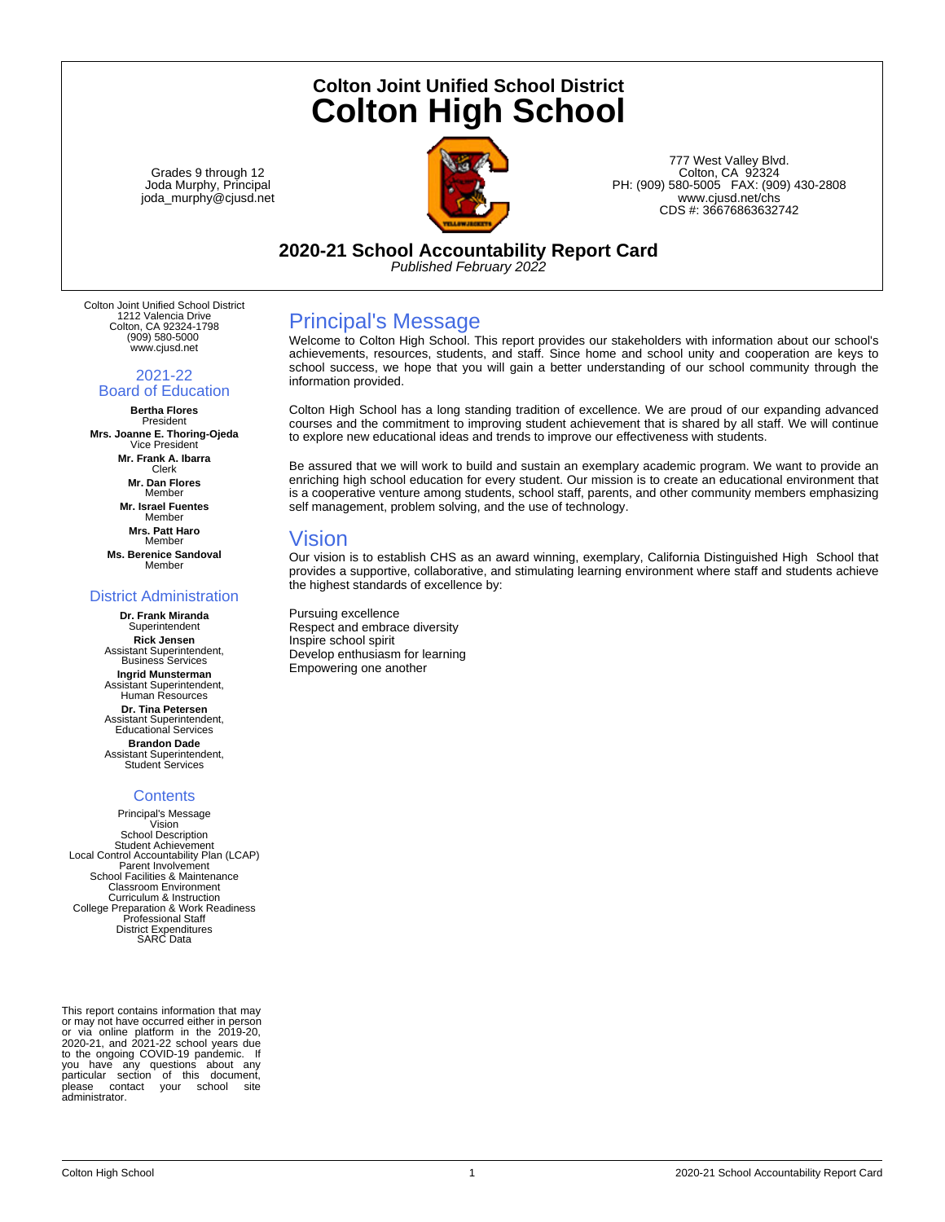**Colton Joint Unified School District Colton High School**

Grades 9 through 12 Joda Murphy, Principal joda\_murphy@cjusd.net



777 West Valley Blvd. Colton, CA 92324 PH: (909) 580-5005 FAX: (909) 430-2808 www.cjusd.net/chs CDS #: 36676863632742

# **2020-21 School Accountability Report Card**

*Published February 2022*

Colton Joint Unified School District 1212 Valencia Drive Colton, CA 92324-1798 (909) 580-5000 www.cjusd.net

#### 2021-22 Board of Education

**Bertha Flores** President **Mrs. Joanne E. Thoring-Ojeda** Vice President **Mr. Frank A. Ibarra** Clerk **Mr. Dan Flores** Member **Mr. Israel Fuentes Member Mrs. Patt Haro Member Ms. Berenice Sandoval** Member

## District Administration

**Dr. Frank Miranda Superintendent Rick Jensen** Assistant Superintendent, Business Services **Ingrid Munsterman** Assistant Superintendent, Human Resources **Dr. Tina Petersen**

Assistant Superintendent, Educational Services **Brandon Dade** Assistant Superintendent,

Student Services

### **Contents**

Principal's Message Vision School Description Student Achievement Local Control Accountability Plan (LCAP) Parent Involvement School Facilities & Maintenance Classroom Environment Curriculum & Instruction College Preparation & Work Readiness Professional Staff District Expenditures SARC Data

This report contains information that may or may not have occurred either in person or via online platform in the 2019-20, 2020-21, and 2021-22 school years due to the ongoing COVID-19 pandemic. If you have any questions about any particular section of this document,<br>please contact your school site contact your please contrator.

# Principal's Message

Welcome to Colton High School. This report provides our stakeholders with information about our school's achievements, resources, students, and staff. Since home and school unity and cooperation are keys to school success, we hope that you will gain a better understanding of our school community through the information provided.

Colton High School has a long standing tradition of excellence. We are proud of our expanding advanced courses and the commitment to improving student achievement that is shared by all staff. We will continue to explore new educational ideas and trends to improve our effectiveness with students.

Be assured that we will work to build and sustain an exemplary academic program. We want to provide an enriching high school education for every student. Our mission is to create an educational environment that is a cooperative venture among students, school staff, parents, and other community members emphasizing self management, problem solving, and the use of technology.

# Vision

Our vision is to establish CHS as an award winning, exemplary, California Distinguished High School that provides a supportive, collaborative, and stimulating learning environment where staff and students achieve the highest standards of excellence by:

Pursuing excellence Respect and embrace diversity Inspire school spirit Develop enthusiasm for learning Empowering one another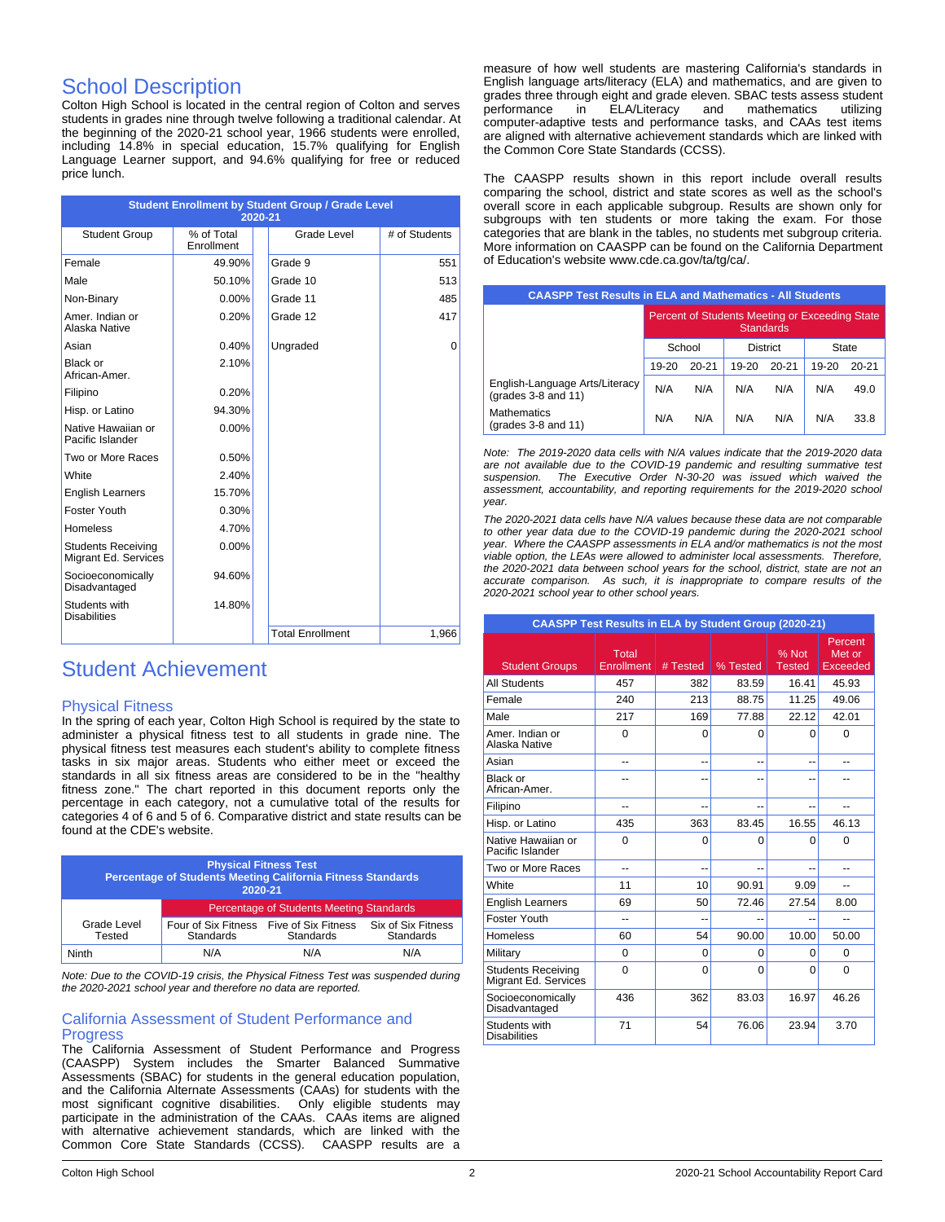# School Description

Colton High School is located in the central region of Colton and serves students in grades nine through twelve following a traditional calendar. At the beginning of the 2020-21 school year, 1966 students were enrolled, including 14.8% in special education, 15.7% qualifying for English Language Learner support, and 94.6% qualifying for free or reduced price lunch.

| <b>Student Enrollment by Student Group / Grade Level</b><br>2020-21 |                          |                         |               |  |  |  |
|---------------------------------------------------------------------|--------------------------|-------------------------|---------------|--|--|--|
| <b>Student Group</b>                                                | % of Total<br>Enrollment | Grade Level             | # of Students |  |  |  |
| Female                                                              | 49.90%                   | Grade 9                 | 551           |  |  |  |
| Male                                                                | 50.10%                   | Grade 10                | 513           |  |  |  |
| Non-Binary                                                          | $0.00\%$                 | Grade 11                | 485           |  |  |  |
| Amer. Indian or<br>Alaska Native                                    | 0.20%                    | Grade 12                | 417           |  |  |  |
| Asian                                                               | 0.40%                    | Ungraded                | $\Omega$      |  |  |  |
| Black or<br>African-Amer.                                           | 2.10%                    |                         |               |  |  |  |
| Filipino                                                            | 0.20%                    |                         |               |  |  |  |
| Hisp. or Latino                                                     | 94.30%                   |                         |               |  |  |  |
| Native Hawaiian or<br>Pacific Islander                              | $0.00\%$                 |                         |               |  |  |  |
| Two or More Races                                                   | 0.50%                    |                         |               |  |  |  |
| <b>White</b>                                                        | 2.40%                    |                         |               |  |  |  |
| <b>English Learners</b>                                             | 15.70%                   |                         |               |  |  |  |
| Foster Youth                                                        | 0.30%                    |                         |               |  |  |  |
| <b>Homeless</b>                                                     | 4.70%                    |                         |               |  |  |  |
| <b>Students Receiving</b><br>Migrant Ed. Services                   | $0.00\%$                 |                         |               |  |  |  |
| Socioeconomically<br>Disadvantaged                                  | 94.60%                   |                         |               |  |  |  |
| Students with<br><b>Disabilities</b>                                | 14.80%                   |                         |               |  |  |  |
|                                                                     |                          | <b>Total Enrollment</b> | 1,966         |  |  |  |

# Student Achievement

### Physical Fitness

In the spring of each year, Colton High School is required by the state to administer a physical fitness test to all students in grade nine. The physical fitness test measures each student's ability to complete fitness tasks in six major areas. Students who either meet or exceed the standards in all six fitness areas are considered to be in the "healthy fitness zone." The chart reported in this document reports only the percentage in each category, not a cumulative total of the results for categories 4 of 6 and 5 of 6. Comparative district and state results can be found at the CDE's website.

| <b>Physical Fitness Test</b><br>Percentage of Students Meeting California Fitness Standards<br>2020-21 |                                                      |                  |                                 |  |
|--------------------------------------------------------------------------------------------------------|------------------------------------------------------|------------------|---------------------------------|--|
|                                                                                                        | <b>Percentage of Students Meeting Standards</b>      |                  |                                 |  |
| Grade Level<br>Tested                                                                                  | Four of Six Fitness Five of Six Fitness<br>Standards | <b>Standards</b> | Six of Six Fitness<br>Standards |  |
| Ninth                                                                                                  | N/A                                                  | N/A              | N/A                             |  |

*Note: Due to the COVID-19 crisis, the Physical Fitness Test was suspended during the 2020-2021 school year and therefore no data are reported.*

## California Assessment of Student Performance and **Progress**

The California Assessment of Student Performance and Progress (CAASPP) System includes the Smarter Balanced Summative Assessments (SBAC) for students in the general education population, and the California Alternate Assessments (CAAs) for students with the most significant cognitive disabilities. Only eligible students may participate in the administration of the CAAs. CAAs items are aligned with alternative achievement standards, which are linked with the<br>Common Core State Standards (CCSS). CAASPP results are a Common Core State Standards (CCSS).

measure of how well students are mastering California's standards in English language arts/literacy (ELA) and mathematics, and are given to grades three through eight and grade eleven. SBAC tests assess student<br>performance in ELA/Literacy and mathematics utilizing ELA/Literacy computer-adaptive tests and performance tasks, and CAAs test items are aligned with alternative achievement standards which are linked with the Common Core State Standards (CCSS).

The CAASPP results shown in this report include overall results comparing the school, district and state scores as well as the school's overall score in each applicable subgroup. Results are shown only for subgroups with ten students or more taking the exam. For those categories that are blank in the tables, no students met subgroup criteria. More information on CAASPP can be found on the California Department of Education's website www.cde.ca.gov/ta/tg/ca/.

| <b>CAASPP Test Results in ELA and Mathematics - All Students</b> |                                                                    |           |                 |           |           |           |
|------------------------------------------------------------------|--------------------------------------------------------------------|-----------|-----------------|-----------|-----------|-----------|
|                                                                  | Percent of Students Meeting or Exceeding State<br><b>Standards</b> |           |                 |           |           |           |
|                                                                  |                                                                    | School    | <b>District</b> |           | State     |           |
|                                                                  | 19-20                                                              | $20 - 21$ | 19-20           | $20 - 21$ | $19 - 20$ | $20 - 21$ |
| English-Language Arts/Literacy<br>$(grades 3-8 and 11)$          | N/A                                                                | N/A       | N/A             | N/A       | N/A       | 49.0      |
| <b>Mathematics</b><br>(grades $3-8$ and $11$ )                   | N/A                                                                | N/A       | N/A             | N/A       | N/A       | 33.8      |

*Note: The 2019-2020 data cells with N/A values indicate that the 2019-2020 data are not available due to the COVID-19 pandemic and resulting summative test suspension. The Executive Order N-30-20 was issued which waived the assessment, accountability, and reporting requirements for the 2019-2020 school year.*

*The 2020-2021 data cells have N/A values because these data are not comparable to other year data due to the COVID-19 pandemic during the 2020-2021 school year. Where the CAASPP assessments in ELA and/or mathematics is not the most viable option, the LEAs were allowed to administer local assessments. Therefore, the 2020-2021 data between school years for the school, district, state are not an accurate comparison. As such, it is inappropriate to compare results of the 2020-2021 school year to other school years.*

| <b>CAASPP Test Results in ELA by Student Group (2020-21)</b> |                     |          |          |                        |                                      |  |
|--------------------------------------------------------------|---------------------|----------|----------|------------------------|--------------------------------------|--|
| <b>Student Groups</b>                                        | Total<br>Enrollment | # Tested | % Tested | % Not<br><b>Tested</b> | Percent<br>Met or<br><b>Exceeded</b> |  |
| <b>All Students</b>                                          | 457                 | 382      | 83.59    | 16.41                  | 45.93                                |  |
| Female                                                       | 240                 | 213      | 88.75    | 11.25                  | 49.06                                |  |
| Male                                                         | 217                 | 169      | 77.88    | 22.12                  | 42.01                                |  |
| Amer, Indian or<br>Alaska Native                             | $\Omega$            | $\Omega$ | $\Omega$ | $\Omega$               | $\Omega$                             |  |
| Asian                                                        |                     | --       | --       | --                     |                                      |  |
| Black or<br>African-Amer.                                    |                     | --       | --       | --                     |                                      |  |
| Filipino                                                     | $-1$                |          | --       | --                     | --                                   |  |
| Hisp. or Latino                                              | 435                 | 363      | 83.45    | 16.55                  | 46.13                                |  |
| Native Hawaiian or<br>Pacific Islander                       | $\Omega$            | 0        | $\Omega$ | 0                      | $\Omega$                             |  |
| Two or More Races                                            | --                  | --       | --       | --                     | --                                   |  |
| White                                                        | 11                  | 10       | 90.91    | 9.09                   | --                                   |  |
| <b>English Learners</b>                                      | 69                  | 50       | 72.46    | 27.54                  | 8.00                                 |  |
| Foster Youth                                                 | $\overline{a}$      | --       | --       | --                     | --                                   |  |
| <b>Homeless</b>                                              | 60                  | 54       | 90.00    | 10.00                  | 50.00                                |  |
| Military                                                     | $\Omega$            | 0        | 0        | 0                      | $\Omega$                             |  |
| <b>Students Receiving</b><br>Migrant Ed. Services            | $\Omega$            | $\Omega$ | $\Omega$ | 0                      | $\Omega$                             |  |
| Socioeconomically<br>Disadvantaged                           | 436                 | 362      | 83.03    | 16.97                  | 46.26                                |  |
| Students with<br><b>Disabilities</b>                         | 71                  | 54       | 76.06    | 23.94                  | 3.70                                 |  |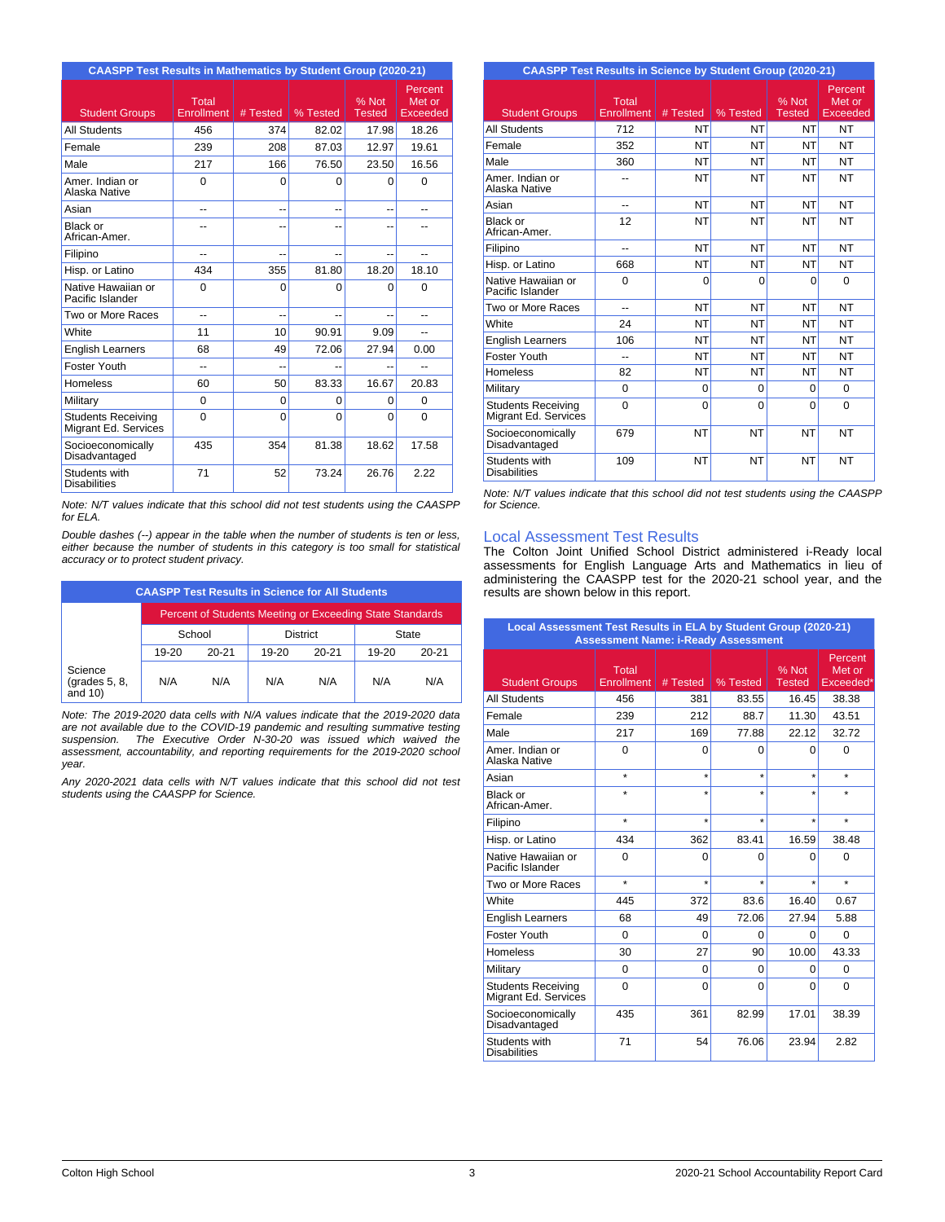|                                                   | <b>CAASPP Test Results in Mathematics by Student Group (2020-21)</b> |          |          |                        |                               |  |  |
|---------------------------------------------------|----------------------------------------------------------------------|----------|----------|------------------------|-------------------------------|--|--|
| <b>Student Groups</b>                             | Total<br>Enrollment                                                  | # Tested | % Tested | % Not<br><b>Tested</b> | Percent<br>Met or<br>Exceeded |  |  |
| <b>All Students</b>                               | 456                                                                  | 374      | 82.02    | 17.98                  | 18.26                         |  |  |
| Female                                            | 239                                                                  | 208      | 87.03    | 12.97                  | 19.61                         |  |  |
| Male                                              | 217                                                                  | 166      | 76.50    | 23.50                  | 16.56                         |  |  |
| Amer, Indian or<br>Alaska Native                  | $\Omega$                                                             | 0        | $\Omega$ | 0                      | $\Omega$                      |  |  |
| Asian                                             | --                                                                   | --       | --       | --                     | --                            |  |  |
| <b>Black or</b><br>African-Amer.                  |                                                                      | --       | ٠.       | --                     |                               |  |  |
| Filipino                                          | $-$                                                                  | --       | --       | --                     | $-$                           |  |  |
| Hisp. or Latino                                   | 434                                                                  | 355      | 81.80    | 18.20                  | 18.10                         |  |  |
| Native Hawaiian or<br>Pacific Islander            | $\Omega$                                                             | 0        | 0        | 0                      | $\Omega$                      |  |  |
| Two or More Races                                 | --                                                                   |          | --       | --                     | --                            |  |  |
| White                                             | 11                                                                   | 10       | 90.91    | 9.09                   | $-$                           |  |  |
| <b>English Learners</b>                           | 68                                                                   | 49       | 72.06    | 27.94                  | 0.00                          |  |  |
| Foster Youth                                      | $\overline{a}$                                                       | --       |          | --                     |                               |  |  |
| Homeless                                          | 60                                                                   | 50       | 83.33    | 16.67                  | 20.83                         |  |  |
| Military                                          | $\Omega$                                                             | 0        | $\Omega$ | 0                      | 0                             |  |  |
| <b>Students Receiving</b><br>Migrant Ed. Services | $\Omega$                                                             | $\Omega$ | $\Omega$ | 0                      | $\Omega$                      |  |  |
| Socioeconomically<br>Disadvantaged                | 435                                                                  | 354      | 81.38    | 18.62                  | 17.58                         |  |  |
| Students with<br><b>Disabilities</b>              | 71                                                                   | 52       | 73.24    | 26.76                  | 2.22                          |  |  |

*Note: N/T values indicate that this school did not test students using the CAASPP for ELA.*

*Double dashes (--) appear in the table when the number of students is ten or less, either because the number of students in this category is too small for statistical accuracy or to protect student privacy.*

|                                      |           |           |           | <b>CAASPP Test Results in Science for All Students</b>   |         |           |
|--------------------------------------|-----------|-----------|-----------|----------------------------------------------------------|---------|-----------|
|                                      |           |           |           | Percent of Students Meeting or Exceeding State Standards |         |           |
|                                      |           | School    |           | <b>District</b>                                          |         | State     |
|                                      | $19 - 20$ | $20 - 21$ | $19 - 20$ | $20 - 21$                                                | $19-20$ | $20 - 21$ |
| Science<br>(grades 5, 8,<br>and $10$ | N/A       | N/A       | N/A       | N/A                                                      | N/A     | N/A       |

*Note: The 2019-2020 data cells with N/A values indicate that the 2019-2020 data are not available due to the COVID-19 pandemic and resulting summative testing suspension. The Executive Order N-30-20 was issued which waived the assessment, accountability, and reporting requirements for the 2019-2020 school year.*

*Any 2020-2021 data cells with N/T values indicate that this school did not test students using the CAASPP for Science.*

|                                                   | <b>CAASPP Test Results in Science by Student Group (2020-21)</b> |           |           |                 |                                      |  |
|---------------------------------------------------|------------------------------------------------------------------|-----------|-----------|-----------------|--------------------------------------|--|
| <b>Student Groups</b>                             | Total<br><b>Enrollment</b>                                       | # Tested  | % Tested  | % Not<br>Tested | Percent<br>Met or<br><b>Exceeded</b> |  |
| <b>All Students</b>                               | 712                                                              | NT        | <b>NT</b> | <b>NT</b>       | <b>NT</b>                            |  |
| Female                                            | 352                                                              | NT        | NT        | NT              | <b>NT</b>                            |  |
| Male                                              | 360                                                              | NT        | NT        | <b>NT</b>       | <b>NT</b>                            |  |
| Amer, Indian or<br>Alaska Native                  | --                                                               | NT        | <b>NT</b> | <b>NT</b>       | <b>NT</b>                            |  |
| Asian                                             | --                                                               | <b>NT</b> | <b>NT</b> | <b>NT</b>       | <b>NT</b>                            |  |
| Black or<br>African-Amer.                         | 12                                                               | NT        | NT        | <b>NT</b>       | <b>NT</b>                            |  |
| Filipino                                          | --                                                               | NT        | NT        | NT              | <b>NT</b>                            |  |
| Hisp. or Latino                                   | 668                                                              | NT        | <b>NT</b> | <b>NT</b>       | <b>NT</b>                            |  |
| Native Hawaiian or<br>Pacific Islander            | $\Omega$                                                         | $\Omega$  | 0         | $\Omega$        | $\Omega$                             |  |
| Two or More Races                                 | --                                                               | NT        | NT        | NT              | <b>NT</b>                            |  |
| White                                             | 24                                                               | NT        | <b>NT</b> | NT              | <b>NT</b>                            |  |
| <b>English Learners</b>                           | 106                                                              | NT        | <b>NT</b> | <b>NT</b>       | <b>NT</b>                            |  |
| Foster Youth                                      | --                                                               | <b>NT</b> | NT        | <b>NT</b>       | <b>NT</b>                            |  |
| <b>Homeless</b>                                   | 82                                                               | <b>NT</b> | <b>NT</b> | <b>NT</b>       | <b>NT</b>                            |  |
| Military                                          | $\Omega$                                                         | 0         | 0         | 0               | $\Omega$                             |  |
| <b>Students Receiving</b><br>Migrant Ed. Services | $\Omega$                                                         | 0         | 0         | 0               | $\Omega$                             |  |
| Socioeconomically<br>Disadvantaged                | 679                                                              | <b>NT</b> | NT        | <b>NT</b>       | <b>NT</b>                            |  |
| Students with<br><b>Disabilities</b>              | 109                                                              | <b>NT</b> | NT        | NT              | <b>NT</b>                            |  |

*Note: N/T values indicate that this school did not test students using the CAASPP for Science.*

# Local Assessment Test Results

The Colton Joint Unified School District administered i-Ready local assessments for English Language Arts and Mathematics in lieu of administering the CAASPP test for the 2020-21 school year, and the results are shown below in this report.

| Local Assessment Test Results in ELA by Student Group (2020-21)<br><b>Assessment Name: i-Ready Assessment</b> |                            |          |          |                          |                                |
|---------------------------------------------------------------------------------------------------------------|----------------------------|----------|----------|--------------------------|--------------------------------|
| <b>Student Groups</b>                                                                                         | <b>Total</b><br>Enrollment | # Tested | % Tested | $%$ Not<br><b>Tested</b> | Percent<br>Met or<br>Exceeded* |
| <b>All Students</b>                                                                                           | 456                        | 381      | 83.55    | 16.45                    | 38.38                          |
| Female                                                                                                        | 239                        | 212      | 88.7     | 11.30                    | 43.51                          |
| Male                                                                                                          | 217                        | 169      | 77.88    | 22.12                    | 32.72                          |
| Amer, Indian or<br>Alaska Native                                                                              | $\Omega$                   | 0        | 0        | 0                        | $\Omega$                       |
| Asian                                                                                                         | $\star$                    | $\star$  | $\star$  | $\star$                  | ÷                              |
| Black or<br>African-Amer.                                                                                     | $\star$                    | $\star$  | $\star$  | $\star$                  | $\star$                        |
| Filipino                                                                                                      | $\star$                    | $\star$  | $\star$  | $\star$                  | $\star$                        |
| Hisp. or Latino                                                                                               | 434                        | 362      | 83.41    | 16.59                    | 38.48                          |
| Native Hawaiian or<br>Pacific Islander                                                                        | $\Omega$                   | 0        | $\Omega$ | $\Omega$                 | $\Omega$                       |
| Two or More Races                                                                                             | $\star$                    | $\star$  | $\star$  | $\star$                  | $\star$                        |
| White                                                                                                         | 445                        | 372      | 83.6     | 16.40                    | 0.67                           |
| <b>English Learners</b>                                                                                       | 68                         | 49       | 72.06    | 27.94                    | 5.88                           |
| Foster Youth                                                                                                  | $\Omega$                   | $\Omega$ | $\Omega$ | 0                        | $\Omega$                       |
| <b>Homeless</b>                                                                                               | 30                         | 27       | 90       | 10.00                    | 43.33                          |
| Military                                                                                                      | $\Omega$                   | $\Omega$ | $\Omega$ | 0                        | $\Omega$                       |
| <b>Students Receiving</b><br>Migrant Ed. Services                                                             | $\Omega$                   | $\Omega$ | $\Omega$ | $\Omega$                 | $\Omega$                       |
| Socioeconomically<br>Disadvantaged                                                                            | 435                        | 361      | 82.99    | 17.01                    | 38.39                          |
| Students with<br><b>Disabilities</b>                                                                          | 71                         | 54       | 76.06    | 23.94                    | 2.82                           |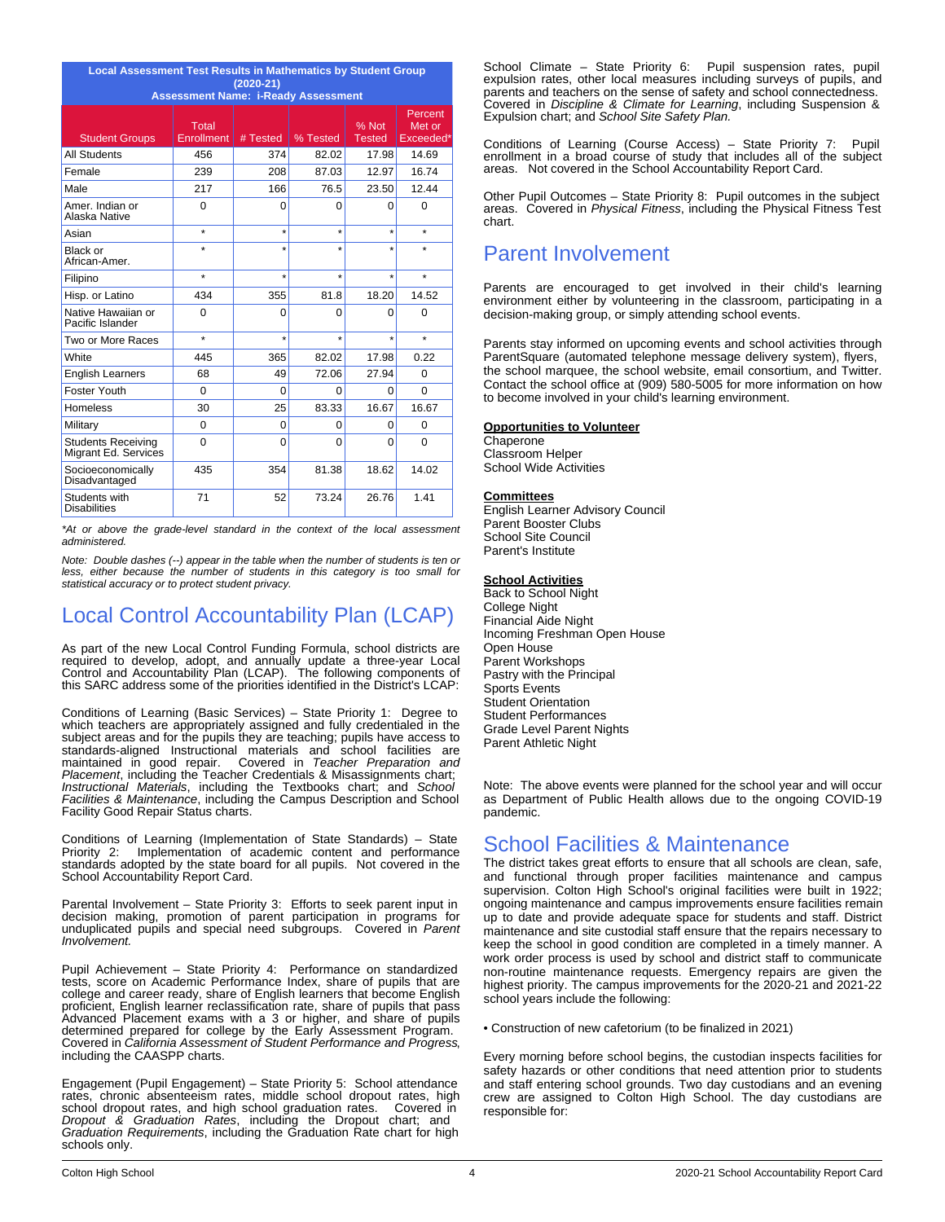| <b>Local Assessment Test Results in Mathematics by Student Group</b><br>$(2020-21)$ |                                            |          |          |                        |                                |
|-------------------------------------------------------------------------------------|--------------------------------------------|----------|----------|------------------------|--------------------------------|
|                                                                                     | <b>Assessment Name: i-Ready Assessment</b> |          |          |                        |                                |
| <b>Student Groups</b>                                                               | Total<br><b>Enrollment</b>                 | # Tested | % Tested | % Not<br><b>Tested</b> | Percent<br>Met or<br>Exceeded* |
| <b>All Students</b>                                                                 | 456                                        | 374      | 82.02    | 17.98                  | 14.69                          |
| Female                                                                              | 239                                        | 208      | 87.03    | 12.97                  | 16.74                          |
| Male                                                                                | 217                                        | 166      | 76.5     | 23.50                  | 12.44                          |
| Amer, Indian or<br>Alaska Native                                                    | 0                                          | 0        | $\Omega$ | 0                      | 0                              |
| Asian                                                                               | $\star$                                    | $\star$  | $\star$  | $\star$                | $\star$                        |
| Black or<br>African-Amer.                                                           | $\star$                                    | $\star$  | $\star$  | $\star$                | $\star$                        |
| Filipino                                                                            | $\star$                                    | $\star$  | $\star$  | $\star$                | $\star$                        |
| Hisp. or Latino                                                                     | 434                                        | 355      | 81.8     | 18.20                  | 14.52                          |
| Native Hawaiian or<br>Pacific Islander                                              | $\Omega$                                   | 0        | 0        | $\Omega$               | $\Omega$                       |
| Two or More Races                                                                   | $\star$                                    | $\star$  | $\star$  | $\star$                | $\star$                        |
| White                                                                               | 445                                        | 365      | 82.02    | 17.98                  | 0.22                           |
| <b>English Learners</b>                                                             | 68                                         | 49       | 72.06    | 27.94                  | 0                              |
| Foster Youth                                                                        | $\Omega$                                   | $\Omega$ | $\Omega$ | $\Omega$               | $\Omega$                       |
| Homeless                                                                            | 30                                         | 25       | 83.33    | 16.67                  | 16.67                          |
| Military                                                                            | $\Omega$                                   | $\Omega$ | $\Omega$ | $\Omega$               | $\Omega$                       |
| <b>Students Receiving</b><br>Migrant Ed. Services                                   | $\Omega$                                   | 0        | $\Omega$ | $\Omega$               | $\Omega$                       |
| Socioeconomically<br>Disadvantaged                                                  | 435                                        | 354      | 81.38    | 18.62                  | 14.02                          |
| Students with<br><b>Disabilities</b>                                                | 71                                         | 52       | 73.24    | 26.76                  | 1.41                           |

*\*At or above the grade-level standard in the context of the local assessment administered.*

*Note: Double dashes (--) appear in the table when the number of students is ten or less, either because the number of students in this category is too small for statistical accuracy or to protect student privacy.*

# Local Control Accountability Plan (LCAP)

As part of the new Local Control Funding Formula, school districts are required to develop, adopt, and annually update a three-year Local Control and Accountability Plan (LCAP). The following components of this SARC address some of the priorities identified in the District's LCAP:

Conditions of Learning (Basic Services) – State Priority 1: Degree to which teachers are appropriately assigned and fully credentialed in the subject areas and for the pupils they are teaching; pupils have access to standards-aligned Instructional materials and school facilities are maintained in good repair. Covered in *Teacher Preparation and* maintained in good repair. Covered in Teacher Preparation and Placement, including the Teacher Credentials & Misassignments chart; *Instructional Materials*, including the Textbooks chart; and *School Facilities & Maintenance*, including the Campus Description and School Facility Good Repair Status charts.

Conditions of Learning (Implementation of State Standards) – State Priority 2: Implementation of academic content and performance standards adopted by the state board for all pupils. Not covered in the School Accountability Report Card.

Parental Involvement – State Priority 3: Efforts to seek parent input in decision making, promotion of parent participation in programs for unduplicated pupils and special need subgroups. Covered in *Parent Involvement.*

Pupil Achievement – State Priority 4: Performance on standardized tests, score on Academic Performance Index, share of pupils that are college and career ready, share of English learners that become English proficient, English learner reclassification rate, share of pupils that pass Advanced Placement exams with a 3 or higher, and share of pupils determined prepared for college by the Early Assessment Program. Covered in *California Assessment of Student Performance and Progress*, including the CAASPP charts.

Engagement (Pupil Engagement) – State Priority 5: School attendance rates, chronic absenteeism rates, middle school dropout rates, high school dropout rates, and high school graduation rates. Covered in school dropout rates, and high school graduation rates. *Dropout & Graduation Rates*, including the Dropout chart; and *Graduation Requirements*, including the Graduation Rate chart for high schools only.

School Climate – State Priority 6: Pupil suspension rates, pupil expulsion rates, other local measures including surveys of pupils, and parents and teachers on the sense of safety and school connectedness. Covered in *Discipline & Climate for Learning*, including Suspension & Expulsion chart; and *School Site Safety Plan.*

Conditions of Learning (Course Access) – State Priority 7: Pupil enrollment in a broad course of study that includes all of the subject areas. Not covered in the School Accountability Report Card.

Other Pupil Outcomes – State Priority 8: Pupil outcomes in the subject areas. Covered in *Physical Fitness*, including the Physical Fitness Test chart.

# Parent Involvement

Parents are encouraged to get involved in their child's learning environment either by volunteering in the classroom, participating in a decision-making group, or simply attending school events.

Parents stay informed on upcoming events and school activities through ParentSquare (automated telephone message delivery system), flyers, the school marquee, the school website, email consortium, and Twitter. Contact the school office at (909) 580-5005 for more information on how to become involved in your child's learning environment.

### **Opportunities to Volunteer**

Chaperone Classroom Helper School Wide Activities

### **Committees**

English Learner Advisory Council Parent Booster Clubs School Site Council Parent's Institute

### **School Activities**

Back to School Night College Night Financial Aide Night Incoming Freshman Open House Open House Parent Workshops Pastry with the Principal Sports Events Student Orientation Student Performances Grade Level Parent Nights Parent Athletic Night

Note: The above events were planned for the school year and will occur as Department of Public Health allows due to the ongoing COVID-19 pandemic.

# School Facilities & Maintenance

The district takes great efforts to ensure that all schools are clean, safe, and functional through proper facilities maintenance and campus supervision. Colton High School's original facilities were built in 1922; ongoing maintenance and campus improvements ensure facilities remain up to date and provide adequate space for students and staff. District maintenance and site custodial staff ensure that the repairs necessary to keep the school in good condition are completed in a timely manner. A work order process is used by school and district staff to communicate non-routine maintenance requests. Emergency repairs are given the highest priority. The campus improvements for the 2020-21 and 2021-22 school years include the following:

• Construction of new cafetorium (to be finalized in 2021)

Every morning before school begins, the custodian inspects facilities for safety hazards or other conditions that need attention prior to students and staff entering school grounds. Two day custodians and an evening crew are assigned to Colton High School. The day custodians are responsible for: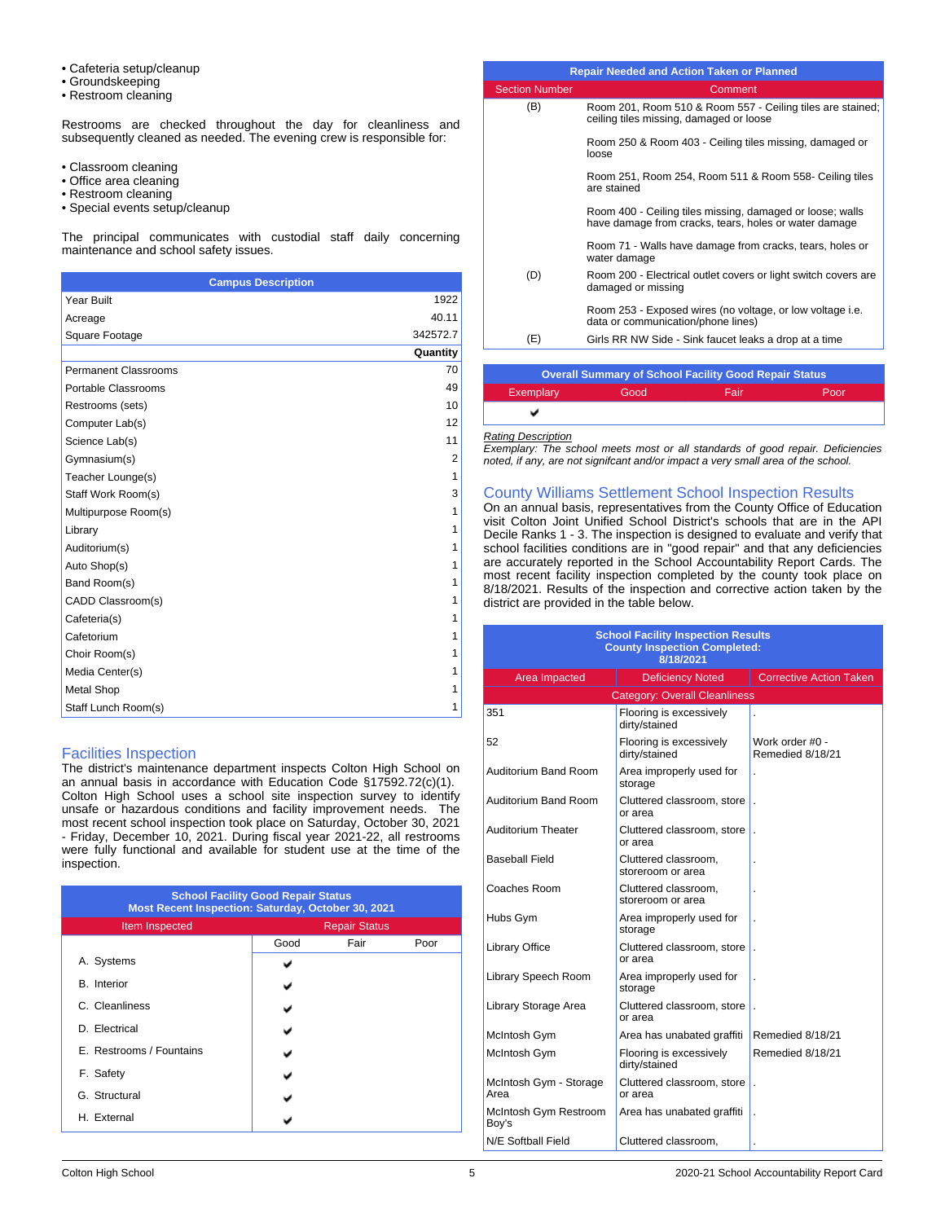• Cafeteria setup/cleanup

- Groundskeeping
- Restroom cleaning

Restrooms are checked throughout the day for cleanliness and subsequently cleaned as needed. The evening crew is responsible for:

- Classroom cleaning
- Office area cleaning
- Restroom cleaning
- Special events setup/cleanup

The principal communicates with custodial staff daily concerning maintenance and school safety issues.

| <b>Campus Description</b> |          |
|---------------------------|----------|
| Year Built                | 1922     |
| Acreage                   | 40.11    |
| Square Footage            | 342572.7 |
|                           | Quantity |
| Permanent Classrooms      | 70       |
| Portable Classrooms       | 49       |
| Restrooms (sets)          | 10       |
| Computer Lab(s)           | 12       |
| Science Lab(s)            | 11       |
| Gymnasium(s)              | 2        |
| Teacher Lounge(s)         | 1        |
| Staff Work Room(s)        | 3        |
| Multipurpose Room(s)      | 1        |
| Library                   | 1        |
| Auditorium(s)             | 1        |
| Auto Shop(s)              | 1        |
| Band Room(s)              | 1        |
| CADD Classroom(s)         | 1        |
| Cafeteria(s)              | 1        |
| Cafetorium                | 1        |
| Choir Room(s)             | 1        |
| Media Center(s)           | 1        |
| Metal Shop                | 1        |
| Staff Lunch Room(s)       | 1        |

# Facilities Inspection

The district's maintenance department inspects Colton High School on an annual basis in accordance with Education Code §17592.72(c)(1). Colton High School uses a school site inspection survey to identify unsafe or hazardous conditions and facility improvement needs. The most recent school inspection took place on Saturday, October 30, 2021 - Friday, December 10, 2021. During fiscal year 2021-22, all restrooms were fully functional and available for student use at the time of the inspection.

| <b>School Facility Good Repair Status</b><br>Most Recent Inspection: Saturday, October 30, 2021 |      |      |  |  |  |
|-------------------------------------------------------------------------------------------------|------|------|--|--|--|
| <b>Repair Status</b>                                                                            |      |      |  |  |  |
| Good                                                                                            | Fair | Poor |  |  |  |
|                                                                                                 |      |      |  |  |  |
|                                                                                                 |      |      |  |  |  |
|                                                                                                 |      |      |  |  |  |
|                                                                                                 |      |      |  |  |  |
|                                                                                                 |      |      |  |  |  |
|                                                                                                 |      |      |  |  |  |
|                                                                                                 |      |      |  |  |  |
|                                                                                                 |      |      |  |  |  |
|                                                                                                 |      |      |  |  |  |

|                       | <b>Repair Needed and Action Taken or Planned</b>                                                                   |         |      |
|-----------------------|--------------------------------------------------------------------------------------------------------------------|---------|------|
| <b>Section Number</b> |                                                                                                                    | Comment |      |
| (B)                   | Room 201, Room 510 & Room 557 - Ceiling tiles are stained;<br>ceiling tiles missing, damaged or loose              |         |      |
|                       | Room 250 & Room 403 - Ceiling tiles missing, damaged or<br>loose                                                   |         |      |
|                       | Room 251, Room 254, Room 511 & Room 558- Ceiling tiles<br>are stained                                              |         |      |
|                       | Room 400 - Ceiling tiles missing, damaged or loose; walls<br>have damage from cracks, tears, holes or water damage |         |      |
|                       | Room 71 - Walls have damage from cracks, tears, holes or<br>water damage                                           |         |      |
| (D)                   | Room 200 - Electrical outlet covers or light switch covers are<br>damaged or missing                               |         |      |
|                       | Room 253 - Exposed wires (no voltage, or low voltage i.e.<br>data or communication/phone lines)                    |         |      |
| (E)                   | Girls RR NW Side - Sink faucet leaks a drop at a time                                                              |         |      |
|                       |                                                                                                                    |         |      |
|                       | <b>Overall Summary of School Facility Good Repair Status</b>                                                       |         |      |
| <b>Exemplary</b>      | Good                                                                                                               | Fair    | Poor |

| Overall Summary of School Facility Good Repair Status |      |      |      |
|-------------------------------------------------------|------|------|------|
| Exemplary                                             | Good | Fair | Poor |
|                                                       |      |      |      |
|                                                       |      |      |      |

*Rating Description Exemplary: The school meets most or all standards of good repair. Deficiencies noted, if any, are not signifcant and/or impact a very small area of the school.*

## County Williams Settlement School Inspection Results

On an annual basis, representatives from the County Office of Education visit Colton Joint Unified School District's schools that are in the API Decile Ranks 1 - 3. The inspection is designed to evaluate and verify that school facilities conditions are in "good repair" and that any deficiencies are accurately reported in the School Accountability Report Cards. The most recent facility inspection completed by the county took place on 8/18/2021. Results of the inspection and corrective action taken by the district are provided in the table below.

| <b>School Facility Inspection Results</b><br><b>County Inspection Completed:</b><br>8/18/2021 |                                           |                                     |  |  |  |  |
|-----------------------------------------------------------------------------------------------|-------------------------------------------|-------------------------------------|--|--|--|--|
| Area Impacted                                                                                 | <b>Deficiency Noted</b>                   | <b>Corrective Action Taken</b>      |  |  |  |  |
|                                                                                               | <b>Category: Overall Cleanliness</b>      |                                     |  |  |  |  |
| 351                                                                                           | Flooring is excessively<br>dirty/stained  |                                     |  |  |  |  |
| 52                                                                                            | Flooring is excessively<br>dirty/stained  | Work order #0 -<br>Remedied 8/18/21 |  |  |  |  |
| Auditorium Band Room                                                                          | Area improperly used for<br>storage       |                                     |  |  |  |  |
| Auditorium Band Room                                                                          | Cluttered classroom, store<br>or area     |                                     |  |  |  |  |
| <b>Auditorium Theater</b>                                                                     | Cluttered classroom, store<br>or area     |                                     |  |  |  |  |
| <b>Baseball Field</b>                                                                         | Cluttered classroom.<br>storeroom or area |                                     |  |  |  |  |
| Coaches Room                                                                                  | Cluttered classroom,<br>storeroom or area |                                     |  |  |  |  |
| Hubs Gym                                                                                      | Area improperly used for<br>storage       |                                     |  |  |  |  |
| <b>Library Office</b>                                                                         | Cluttered classroom, store<br>or area     |                                     |  |  |  |  |
| Library Speech Room                                                                           | Area improperly used for<br>storage       |                                     |  |  |  |  |
| Library Storage Area                                                                          | Cluttered classroom, store<br>or area     |                                     |  |  |  |  |
| McIntosh Gym                                                                                  | Area has unabated graffiti                | Remedied 8/18/21                    |  |  |  |  |
| McIntosh Gym                                                                                  | Flooring is excessively<br>dirty/stained  | Remedied 8/18/21                    |  |  |  |  |
| McIntosh Gym - Storage<br>Area                                                                | Cluttered classroom, store<br>or area     |                                     |  |  |  |  |
| McIntosh Gym Restroom<br>Boy's                                                                | Area has unabated graffiti                |                                     |  |  |  |  |
| N/E Softball Field                                                                            | Cluttered classroom.                      |                                     |  |  |  |  |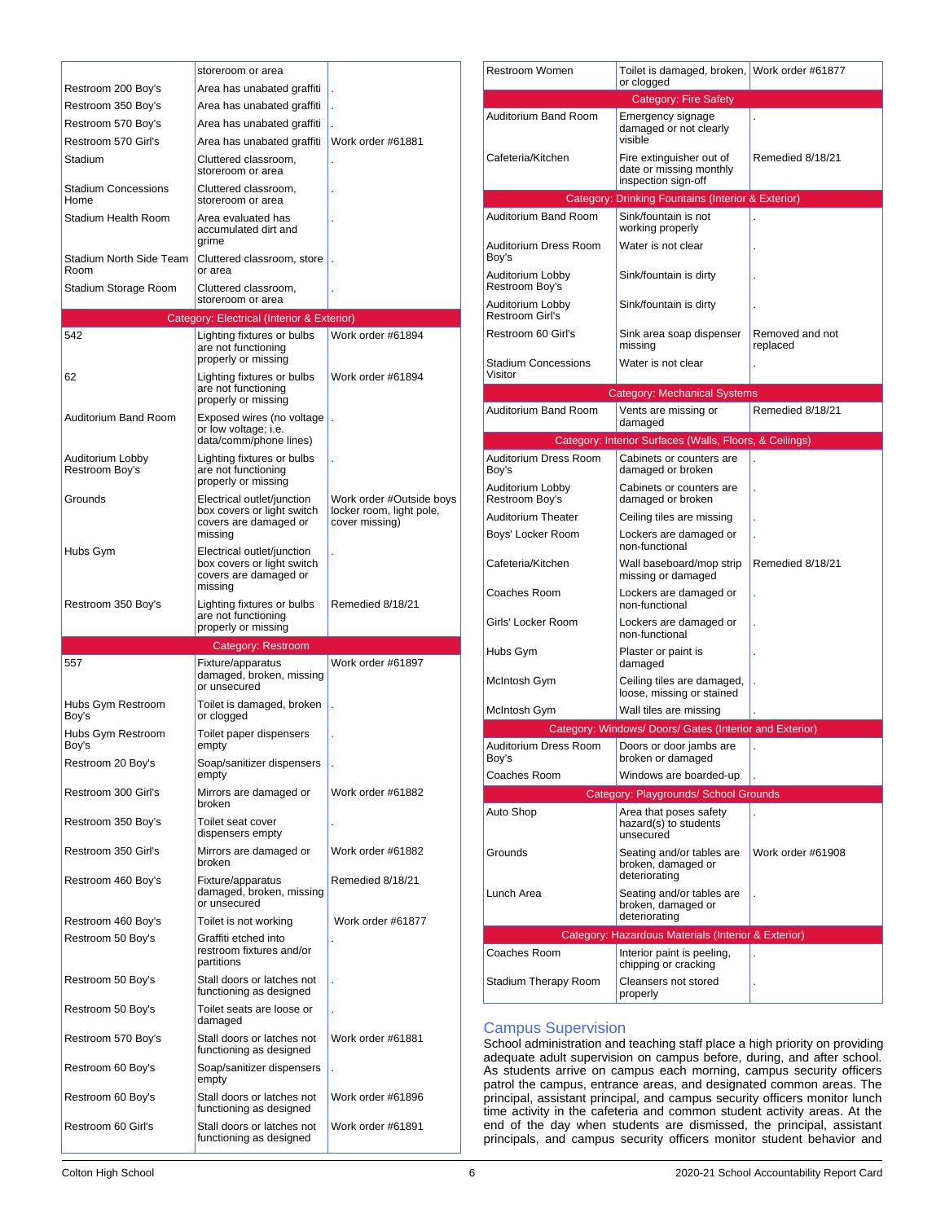|                                    | storeroom or area                                                                                       |                                                                        |
|------------------------------------|---------------------------------------------------------------------------------------------------------|------------------------------------------------------------------------|
| Restroom 200 Boy's                 | Area has unabated graffiti                                                                              |                                                                        |
| Restroom 350 Boy's                 | Area has unabated graffiti                                                                              |                                                                        |
| Restroom 570 Boy's                 | Area has unabated graffiti                                                                              |                                                                        |
| Restroom 570 Girl's                | Area has unabated graffiti                                                                              | Work order #61881                                                      |
| Stadium                            | Cluttered classroom.<br>storeroom or area                                                               |                                                                        |
| <b>Stadium Concessions</b><br>Home | Cluttered classroom.<br>storeroom or area                                                               |                                                                        |
| Stadium Health Room                | Area evaluated has<br>accumulated dirt and<br>grime                                                     |                                                                        |
| Stadium North Side Team<br>Room    | Cluttered classroom, store<br>or area                                                                   |                                                                        |
| Stadium Storage Room               | Cluttered classroom,<br>storeroom or area                                                               |                                                                        |
|                                    | Category: Electrical (Interior & Exterior)                                                              |                                                                        |
| 542                                | Lighting fixtures or bulbs<br>are not functioning<br>properly or missing                                | Work order #61894                                                      |
| 62                                 | Lighting fixtures or bulbs<br>are not functioning<br>properly or missing                                | Work order #61894                                                      |
| Auditorium Band Room               | Exposed wires (no voltage<br>or low voltage; i.e.<br>data/comm/phone lines)                             |                                                                        |
| Auditorium Lobby<br>Restroom Boy's | Lighting fixtures or bulbs<br>are not functioning<br>properly or missing                                |                                                                        |
| Grounds                            | Electrical outlet/junction<br>box covers or light switch<br>covers are damaged or                       | Work order #Outside boys<br>locker room, light pole,<br>cover missing) |
| Hubs Gym                           | missing<br>Electrical outlet/junction<br>box covers or light switch<br>covers are damaged or<br>missing |                                                                        |
| Restroom 350 Boy's                 | Lighting fixtures or bulbs                                                                              | Remedied 8/18/21                                                       |
|                                    | are not functioning                                                                                     |                                                                        |
|                                    | properly or missing                                                                                     |                                                                        |
|                                    | Category: Restroom                                                                                      |                                                                        |
| 557                                | Fixture/apparatus<br>damaged, broken, missing<br>or unsecured                                           | Work order #61897                                                      |
| Hubs Gym Restroom<br>Bov's         | Toilet is damaged, broken<br>or clogged                                                                 |                                                                        |
| Hubs Gym Restroom<br>Boy's         | Toilet paper dispensers<br>empty                                                                        |                                                                        |
| Restroom 20 Boy's                  | Soap/sanitizer dispensers<br>empty                                                                      |                                                                        |
| Restroom 300 Girl's                | Mirrors are damaged or<br>broken                                                                        | Work order #61882                                                      |
| Restroom 350 Boy's                 | Toilet seat cover<br>dispensers empty                                                                   |                                                                        |
| Restroom 350 Girl's                | Mirrors are damaged or<br>broken                                                                        | Work order #61882                                                      |
| Restroom 460 Boy's                 | Fixture/apparatus<br>damaged, broken, missing<br>or unsecured                                           | Remedied 8/18/21                                                       |
| Restroom 460 Boy's                 | Toilet is not working                                                                                   | Work order #61877                                                      |
| Restroom 50 Boy's                  | Graffiti etched into<br>restroom fixtures and/or<br>partitions                                          |                                                                        |
| Restroom 50 Boy's                  | Stall doors or latches not<br>functioning as designed                                                   |                                                                        |
| Restroom 50 Boy's                  | Toilet seats are loose or<br>damaged                                                                    |                                                                        |
| Restroom 570 Boy's                 | Stall doors or latches not<br>functioning as designed                                                   | Work order #61881                                                      |
| Restroom 60 Boy's                  | Soap/sanitizer dispensers<br>empty                                                                      |                                                                        |
| Restroom 60 Boy's                  | Stall doors or latches not<br>functioning as designed                                                   | Work order #61896                                                      |

| Restroom Women                            | Toilet is damaged, broken, Work order #61877<br>or clogged                 |                             |
|-------------------------------------------|----------------------------------------------------------------------------|-----------------------------|
|                                           | Category: Fire Safety                                                      |                             |
| Auditorium Band Room                      | Emergency signage<br>damaged or not clearly<br>visible                     |                             |
| Cafeteria/Kitchen                         | Fire extinguisher out of<br>date or missing monthly<br>inspection sign-off | Remedied 8/18/21            |
|                                           | Category: Drinking Fountains (Interior & Exterior)                         |                             |
| Auditorium Band Room                      | Sink/fountain is not<br>working properly                                   |                             |
| Auditorium Dress Room<br>Boy's            | Water is not clear                                                         |                             |
| <b>Auditorium Lobby</b><br>Restroom Boy's | Sink/fountain is dirty                                                     |                             |
| Auditorium Lobby<br>Restroom Girl's       | Sink/fountain is dirty                                                     |                             |
| Restroom 60 Girl's                        | Sink area soap dispenser<br>missing                                        | Removed and not<br>replaced |
| <b>Stadium Concessions</b><br>Visitor     | Water is not clear                                                         |                             |
|                                           | <b>Category: Mechanical Systems</b>                                        |                             |
| Auditorium Band Room                      | Vents are missing or<br>damaged                                            | Remedied 8/18/21            |
|                                           | Category: Interior Surfaces (Walls, Floors, & Ceilings)                    |                             |
| Auditorium Dress Room<br>Boy's            | Cabinets or counters are<br>damaged or broken                              |                             |
| Auditorium Lobby<br>Restroom Boy's        | Cabinets or counters are<br>damaged or broken                              |                             |
| <b>Auditorium Theater</b>                 | Ceiling tiles are missing                                                  |                             |
| Boys' Locker Room                         | Lockers are damaged or<br>non-functional                                   |                             |
| Cafeteria/Kitchen                         | Wall baseboard/mop strip<br>missing or damaged                             | Remedied 8/18/21            |
| Coaches Room                              | Lockers are damaged or<br>non-functional                                   |                             |
| Girls' Locker Room                        | Lockers are damaged or<br>non-functional                                   |                             |
| Hubs Gym                                  | Plaster or paint is<br>damaged                                             |                             |
| McIntosh Gym                              | Ceiling tiles are damaged,<br>loose, missing or stained                    |                             |
| McIntosh Gym                              | Wall tiles are missing                                                     |                             |
|                                           | Category: Windows/ Doors/ Gates (Interior and Exterior)                    |                             |
| Auditorium Dress Room<br>Boy's            | Doors or door jambs are<br>broken or damaged                               |                             |
| Coaches Room                              | Windows are boarded-up                                                     |                             |
|                                           | Category: Playgrounds/ School Grounds                                      |                             |
| Auto Shop                                 | Area that poses safety<br>hazard(s) to students<br>unsecured               |                             |
| Grounds                                   | Seating and/or tables are<br>broken, damaged or<br>deteriorating           | Work order #61908           |
| Lunch Area                                | Seating and/or tables are<br>broken, damaged or<br>deteriorating           |                             |
|                                           | Category: Hazardous Materials (Interior & Exterior)                        |                             |
| Coaches Room                              | Interior paint is peeling,<br>chipping or cracking                         |                             |
| Stadium Therapy Room                      | Cleansers not stored<br>properly                                           |                             |
|                                           |                                                                            |                             |

# Campus Supervision

School administration and teaching staff place a high priority on providing adequate adult supervision on campus before, during, and after school. As students arrive on campus each morning, campus security officers patrol the campus, entrance areas, and designated common areas. The principal, assistant principal, and campus security officers monitor lunch time activity in the cafeteria and common student activity areas. At the end of the day when students are dismissed, the principal, assistant principals, and campus security officers monitor student behavior and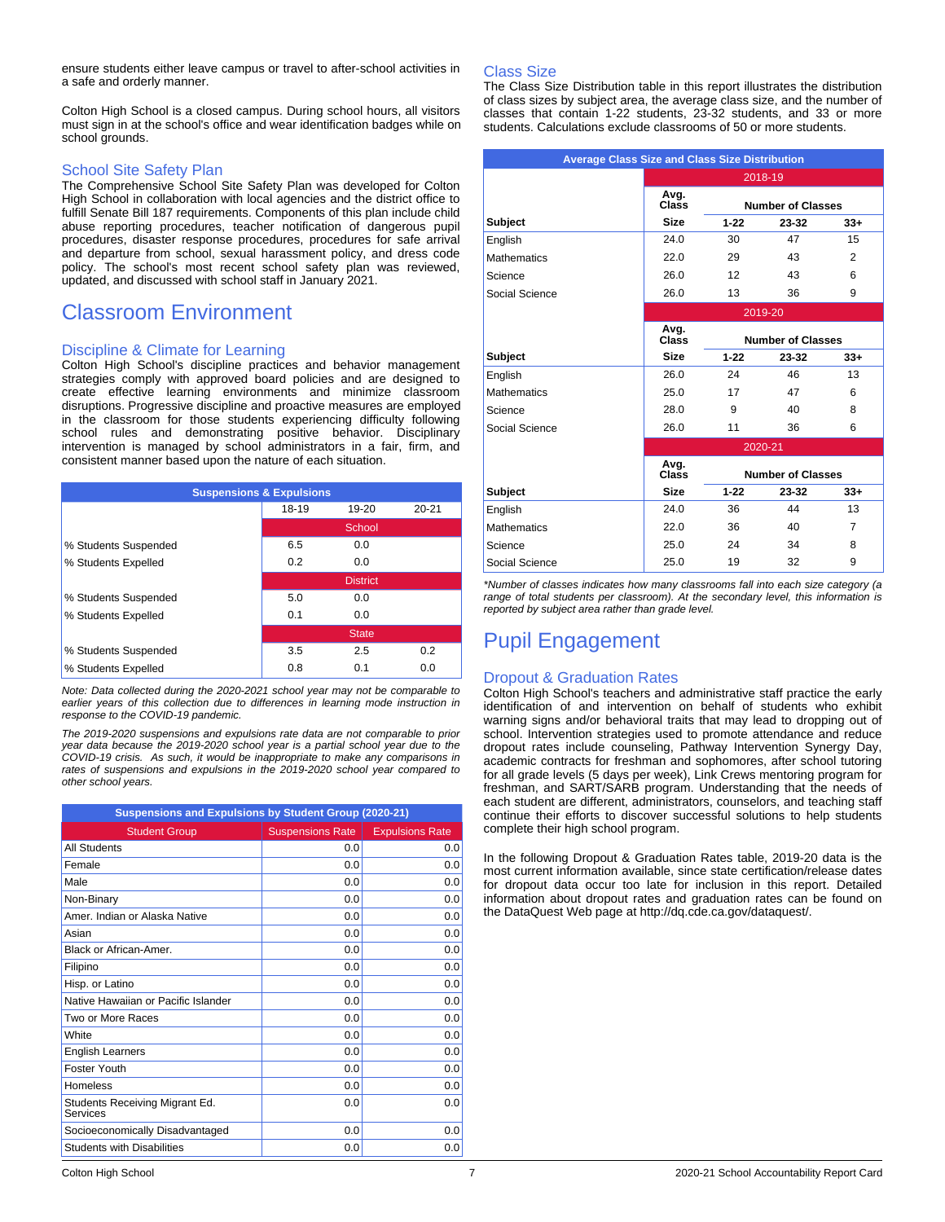ensure students either leave campus or travel to after-school activities in a safe and orderly manner.

Colton High School is a closed campus. During school hours, all visitors must sign in at the school's office and wear identification badges while on school grounds.

### School Site Safety Plan

The Comprehensive School Site Safety Plan was developed for Colton High School in collaboration with local agencies and the district office to fulfill Senate Bill 187 requirements. Components of this plan include child abuse reporting procedures, teacher notification of dangerous pupil procedures, disaster response procedures, procedures for safe arrival and departure from school, sexual harassment policy, and dress code policy. The school's most recent school safety plan was reviewed, updated, and discussed with school staff in January 2021.

# Classroom Environment

### Discipline & Climate for Learning

Colton High School's discipline practices and behavior management strategies comply with approved board policies and are designed to create effective learning environments and minimize classroom disruptions. Progressive discipline and proactive measures are employed in the classroom for those students experiencing difficulty following school rules and demonstrating positive behavior. Disciplinary intervention is managed by school administrators in a fair, firm, and consistent manner based upon the nature of each situation.

| <b>Suspensions &amp; Expulsions</b> |       |                 |           |  |
|-------------------------------------|-------|-----------------|-----------|--|
|                                     | 18-19 | 19-20           | $20 - 21$ |  |
|                                     |       | School          |           |  |
| % Students Suspended                | 6.5   | 0.0             |           |  |
| % Students Expelled                 | 0.2   | 0.0             |           |  |
|                                     |       | <b>District</b> |           |  |
| % Students Suspended                | 5.0   | 0.0             |           |  |
| % Students Expelled                 | 0.1   | 0.0             |           |  |
|                                     |       | <b>State</b>    |           |  |
| % Students Suspended                | 3.5   | 2.5             | 0.2       |  |
| % Students Expelled                 | 0.8   | 0.1             | 0.0       |  |

*Note: Data collected during the 2020-2021 school year may not be comparable to earlier years of this collection due to differences in learning mode instruction in response to the COVID-19 pandemic.*

*The 2019-2020 suspensions and expulsions rate data are not comparable to prior year data because the 2019-2020 school year is a partial school year due to the COVID-19 crisis. As such, it would be inappropriate to make any comparisons in rates of suspensions and expulsions in the 2019-2020 school year compared to other school years.*

| Suspensions and Expulsions by Student Group (2020-21) |                         |                        |  |  |
|-------------------------------------------------------|-------------------------|------------------------|--|--|
| <b>Student Group</b>                                  | <b>Suspensions Rate</b> | <b>Expulsions Rate</b> |  |  |
| <b>All Students</b>                                   | 0.0                     | 0.0                    |  |  |
| Female                                                | 0.0                     | 0.0                    |  |  |
| Male                                                  | 0.0                     | 0.0                    |  |  |
| Non-Binary                                            | 0.0                     | 0.0                    |  |  |
| Amer, Indian or Alaska Native                         | 0.0                     | 0.0                    |  |  |
| Asian                                                 | 0.0                     | 0.0                    |  |  |
| Black or African-Amer.                                | 0.0                     | 0.0                    |  |  |
| Filipino                                              | 0.0                     | 0.0                    |  |  |
| Hisp. or Latino                                       | 0.0                     | 0.0                    |  |  |
| Native Hawaiian or Pacific Islander                   | 0.0                     | 0.0                    |  |  |
| Two or More Races                                     | 0.0                     | 0.0                    |  |  |
| <b>White</b>                                          | 0.0                     | 0.0                    |  |  |
| <b>English Learners</b>                               | 0.0                     | 0.0                    |  |  |
| Foster Youth                                          | 0.0                     | 0.0                    |  |  |
| Homeless                                              | 0.0                     | 0.0                    |  |  |
| Students Receiving Migrant Ed.<br>Services            | 0.0                     | 0.0                    |  |  |
| Socioeconomically Disadvantaged                       | 0.0                     | 0.0                    |  |  |
| <b>Students with Disabilities</b>                     | 0.0                     | 0.0                    |  |  |

## Class Size

The Class Size Distribution table in this report illustrates the distribution of class sizes by subject area, the average class size, and the number of classes that contain 1-22 students, 23-32 students, and 33 or more students. Calculations exclude classrooms of 50 or more students.

| <b>Average Class Size and Class Size Distribution</b> |               |          |                          |                |
|-------------------------------------------------------|---------------|----------|--------------------------|----------------|
|                                                       |               |          | 2018-19                  |                |
|                                                       | Avg.<br>Class |          | <b>Number of Classes</b> |                |
| <b>Subject</b>                                        | <b>Size</b>   | $1 - 22$ | 23-32                    | $33+$          |
| English                                               | 24.0          | 30       | 47                       | 15             |
| <b>Mathematics</b>                                    | 22.0          | 29       | 43                       | $\mathcal{P}$  |
| Science                                               | 26.0          | 12       | 43                       | 6              |
| Social Science                                        | 26.0          | 13       | 36                       | 9              |
|                                                       |               |          | 2019-20                  |                |
|                                                       | Avg.<br>Class |          | <b>Number of Classes</b> |                |
| <b>Subject</b>                                        | <b>Size</b>   | $1 - 22$ | 23-32                    | $33+$          |
| English                                               | 26.0          | 24       | 46                       | 13             |
| <b>Mathematics</b>                                    | 25.0          | 17       | 47                       | 6              |
| Science                                               | 28.0          | 9        | 40                       | 8              |
| Social Science                                        | 26.0          | 11       | 36                       | 6              |
|                                                       |               |          | 2020-21                  |                |
|                                                       | Avg.<br>Class |          | <b>Number of Classes</b> |                |
| <b>Subject</b>                                        | <b>Size</b>   | $1 - 22$ | 23-32                    | $33+$          |
| English                                               | 24.0          | 36       | 44                       | 13             |
| <b>Mathematics</b>                                    | 22.0          | 36       | 40                       | $\overline{7}$ |
| Science                                               | 25.0          | 24       | 34                       | 8              |
| Social Science                                        | 25.0          | 19       | 32                       | 9              |

*\*Number of classes indicates how many classrooms fall into each size category (a range of total students per classroom). At the secondary level, this information is reported by subject area rather than grade level.*

# Pupil Engagement

# Dropout & Graduation Rates

Colton High School's teachers and administrative staff practice the early identification of and intervention on behalf of students who exhibit warning signs and/or behavioral traits that may lead to dropping out of school. Intervention strategies used to promote attendance and reduce dropout rates include counseling, Pathway Intervention Synergy Day, academic contracts for freshman and sophomores, after school tutoring for all grade levels (5 days per week), Link Crews mentoring program for freshman, and SART/SARB program. Understanding that the needs of each student are different, administrators, counselors, and teaching staff continue their efforts to discover successful solutions to help students complete their high school program.

In the following Dropout & Graduation Rates table, 2019-20 data is the most current information available, since state certification/release dates for dropout data occur too late for inclusion in this report. Detailed information about dropout rates and graduation rates can be found on the DataQuest Web page at http://dq.cde.ca.gov/dataquest/.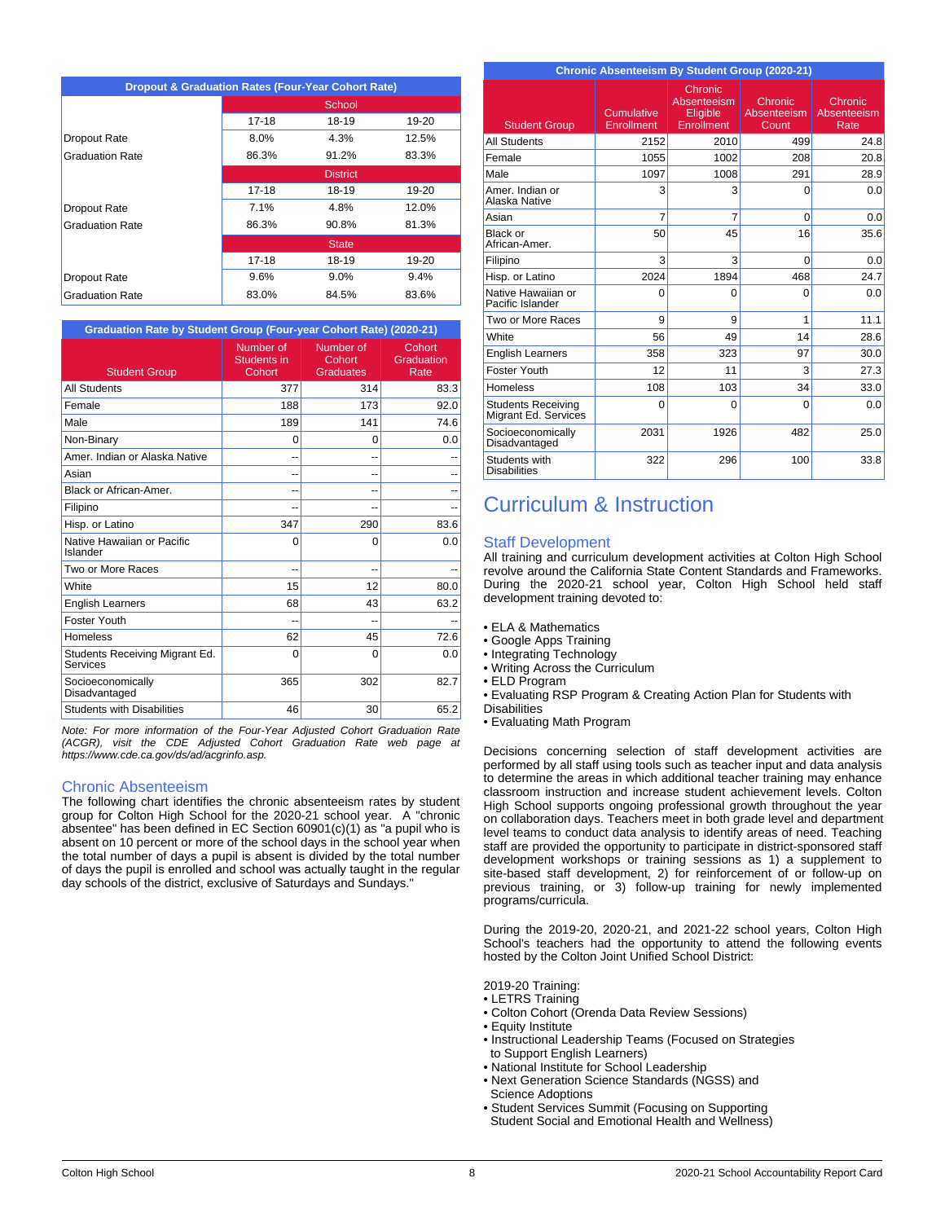| <b>Dropout &amp; Graduation Rates (Four-Year Cohort Rate)</b> |           |                 |       |  |
|---------------------------------------------------------------|-----------|-----------------|-------|--|
|                                                               |           | School          |       |  |
|                                                               | 17-18     | 18-19           | 19-20 |  |
| Dropout Rate                                                  | 8.0%      | 4.3%            | 12.5% |  |
| <b>Graduation Rate</b>                                        | 86.3%     | 91.2%           | 83.3% |  |
|                                                               |           | <b>District</b> |       |  |
|                                                               | 17-18     | 18-19           | 19-20 |  |
| Dropout Rate                                                  | 7.1%      | 4.8%            | 12.0% |  |
| <b>Graduation Rate</b>                                        | 86.3%     | 90.8%           | 81.3% |  |
|                                                               |           | <b>State</b>    |       |  |
|                                                               | $17 - 18$ | 18-19           | 19-20 |  |
| Dropout Rate                                                  | 9.6%      | 9.0%            | 9.4%  |  |
| <b>Graduation Rate</b>                                        | 83.0%     | 84.5%           | 83.6% |  |

| Graduation Rate by Student Group (Four-year Cohort Rate) (2020-21) |                                    |                                         |                              |  |  |
|--------------------------------------------------------------------|------------------------------------|-----------------------------------------|------------------------------|--|--|
| <b>Student Group</b>                                               | Number of<br>Students in<br>Cohort | Number of<br>Cohort<br><b>Graduates</b> | Cohort<br>Graduation<br>Rate |  |  |
| <b>All Students</b>                                                | 377                                | 314                                     | 83.3                         |  |  |
| Female                                                             | 188                                | 173                                     | 92.0                         |  |  |
| Male                                                               | 189                                | 141                                     | 74.6                         |  |  |
| Non-Binary                                                         | 0                                  | 0                                       | 0.0                          |  |  |
| Amer, Indian or Alaska Native                                      |                                    | --                                      |                              |  |  |
| Asian                                                              | --                                 | --                                      |                              |  |  |
| Black or African-Amer.                                             | --                                 | --                                      |                              |  |  |
| Filipino                                                           | --                                 | --                                      |                              |  |  |
| Hisp. or Latino                                                    | 347                                | 290                                     | 83.6                         |  |  |
| Native Hawaiian or Pacific<br>Islander                             | 0                                  | 0                                       | 0.0                          |  |  |
| Two or More Races                                                  | --                                 | --                                      |                              |  |  |
| White                                                              | 15                                 | 12                                      | 80.0                         |  |  |
| <b>English Learners</b>                                            | 68                                 | 43                                      | 63.2                         |  |  |
| Foster Youth                                                       | ٠.                                 | --                                      |                              |  |  |
| Homeless                                                           | 62                                 | 45                                      | 72.6                         |  |  |
| Students Receiving Migrant Ed.<br>Services                         | 0                                  | $\Omega$                                | 0.0                          |  |  |
| Socioeconomically<br>Disadvantaged                                 | 365                                | 302                                     | 82.7                         |  |  |
| <b>Students with Disabilities</b>                                  | 46                                 | 30                                      | 65.2                         |  |  |

*Note: For more information of the Four-Year Adjusted Cohort Graduation Rate (ACGR), visit the CDE Adjusted Cohort Graduation Rate web page at https://www.cde.ca.gov/ds/ad/acgrinfo.asp.*

### Chronic Absenteeism

The following chart identifies the chronic absenteeism rates by student group for Colton High School for the 2020-21 school year. A "chronic absentee" has been defined in EC Section  $60901(c)(1)$  as "a pupil who is absent on 10 percent or more of the school days in the school year when the total number of days a pupil is absent is divided by the total number of days the pupil is enrolled and school was actually taught in the regular day schools of the district, exclusive of Saturdays and Sundays."

| <b>Chronic Absenteeism By Student Group (2020-21)</b> |                          |                                                  |                                 |                                |
|-------------------------------------------------------|--------------------------|--------------------------------------------------|---------------------------------|--------------------------------|
| <b>Student Group</b>                                  | Cumulative<br>Enrollment | Chronic<br>Absenteeism<br>Eligible<br>Enrollment | Chronic<br>Absenteeism<br>Count | Chronic<br>Absenteeism<br>Rate |
| <b>All Students</b>                                   | 2152                     | 2010                                             | 499                             | 24.8                           |
| Female                                                | 1055                     | 1002                                             | 208                             | 20.8                           |
| Male                                                  | 1097                     | 1008                                             | 291                             | 28.9                           |
| Amer, Indian or<br>Alaska Native                      | 3                        | 3                                                | $\Omega$                        | 0.0                            |
| Asian                                                 | 7                        | 7                                                | 0                               | 0.0                            |
| Black or<br>African-Amer.                             | 50                       | 45                                               | 16                              | 35.6                           |
| Filipino                                              | 3                        | 3                                                | 0                               | 0.0                            |
| Hisp. or Latino                                       | 2024                     | 1894                                             | 468                             | 24.7                           |
| Native Hawaiian or<br>Pacific Islander                | 0                        | $\Omega$                                         | $\Omega$                        | 0.0                            |
| Two or More Races                                     | 9                        | 9                                                | 1                               | 11.1                           |
| White                                                 | 56                       | 49                                               | 14                              | 28.6                           |
| <b>English Learners</b>                               | 358                      | 323                                              | 97                              | 30.0                           |
| Foster Youth                                          | 12                       | 11                                               | 3                               | 27.3                           |
| <b>Homeless</b>                                       | 108                      | 103                                              | 34                              | 33.0                           |
| <b>Students Receiving</b><br>Migrant Ed. Services     | $\Omega$                 | $\Omega$                                         | $\Omega$                        | 0.0                            |
| Socioeconomically<br>Disadvantaged                    | 2031                     | 1926                                             | 482                             | 25.0                           |
| Students with<br><b>Disabilities</b>                  | 322                      | 296                                              | 100                             | 33.8                           |

# Curriculum & Instruction

### Staff Development

All training and curriculum development activities at Colton High School revolve around the California State Content Standards and Frameworks. During the 2020-21 school year, Colton High School held staff development training devoted to:

- ELA & Mathematics
- Google Apps Training
- Integrating Technology
- Writing Across the Curriculum
- ELD Program
- Evaluating RSP Program & Creating Action Plan for Students with
- **Disabilities** • Evaluating Math Program

Decisions concerning selection of staff development activities are performed by all staff using tools such as teacher input and data analysis to determine the areas in which additional teacher training may enhance classroom instruction and increase student achievement levels. Colton High School supports ongoing professional growth throughout the year on collaboration days. Teachers meet in both grade level and department level teams to conduct data analysis to identify areas of need. Teaching staff are provided the opportunity to participate in district-sponsored staff development workshops or training sessions as 1) a supplement to site-based staff development, 2) for reinforcement of or follow-up on previous training, or 3) follow-up training for newly implemented programs/curricula.

During the 2019-20, 2020-21, and 2021-22 school years, Colton High School's teachers had the opportunity to attend the following events hosted by the Colton Joint Unified School District:

2019-20 Training:

- LETRS Training
- Colton Cohort (Orenda Data Review Sessions)
- Equity Institute
- Instructional Leadership Teams (Focused on Strategies to Support English Learners)
- National Institute for School Leadership
- Next Generation Science Standards (NGSS) and Science Adoptions
- Student Services Summit (Focusing on Supporting Student Social and Emotional Health and Wellness)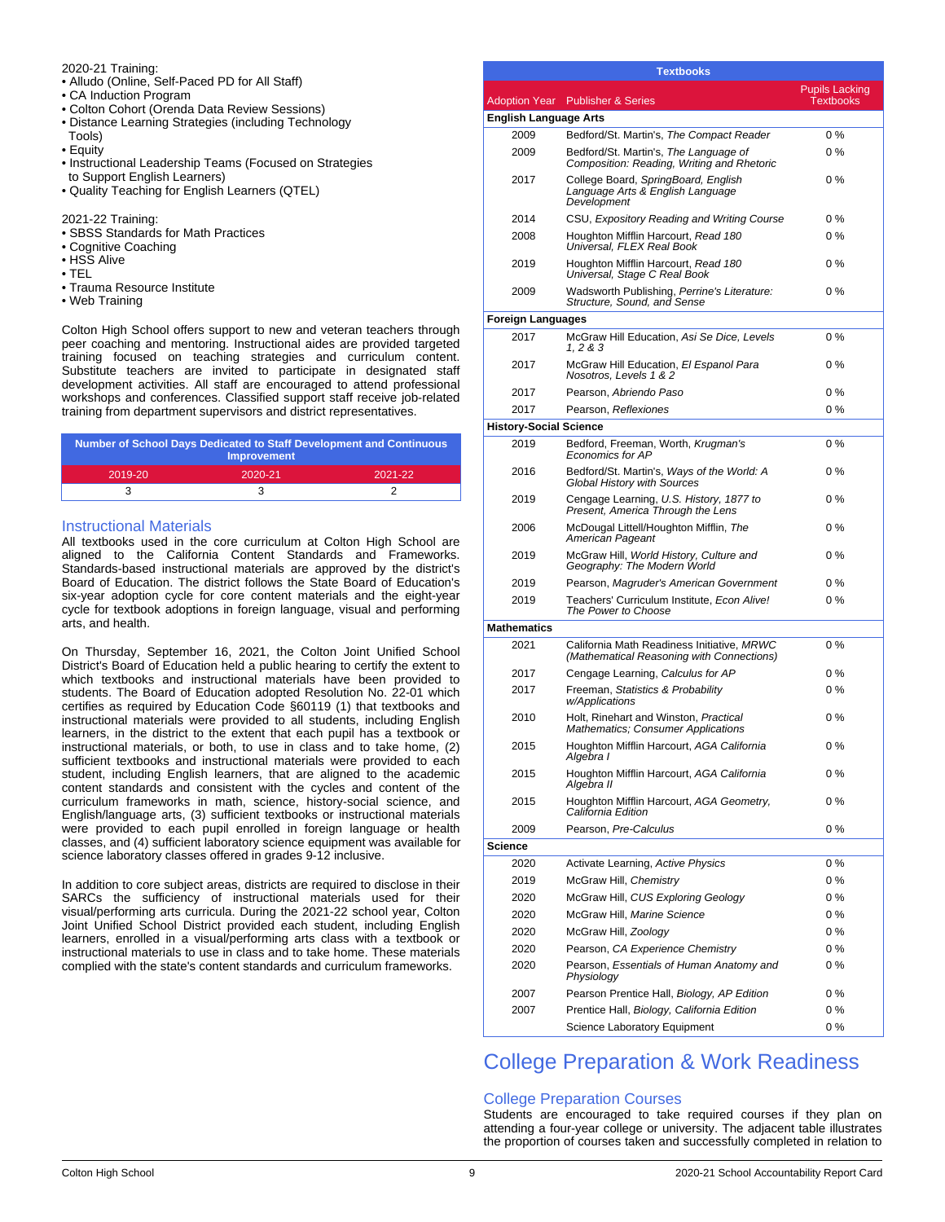#### 2020-21 Training:

- Alludo (Online, Self-Paced PD for All Staff)
- CA Induction Program
- Colton Cohort (Orenda Data Review Sessions)
- Distance Learning Strategies (including Technology Tools)
- Equity
- Instructional Leadership Teams (Focused on Strategies to Support English Learners)
- Quality Teaching for English Learners (QTEL)

2021-22 Training:

- SBSS Standards for Math Practices
- Cognitive Coaching
- HSS Alive
- TEL
- Trauma Resource Institute
- Web Training

Colton High School offers support to new and veteran teachers through peer coaching and mentoring. Instructional aides are provided targeted training focused on teaching strategies and curriculum content. Substitute teachers are invited to participate in designated staff development activities. All staff are encouraged to attend professional workshops and conferences. Classified support staff receive job-related training from department supervisors and district representatives.

| <b>Number of School Days Dedicated to Staff Development and Continuous</b><br>Improvement |         |             |  |
|-------------------------------------------------------------------------------------------|---------|-------------|--|
| $2019 - 20'$                                                                              | 2020-21 | $2021 - 22$ |  |
|                                                                                           |         |             |  |

### Instructional Materials

All textbooks used in the core curriculum at Colton High School are aligned to the California Content Standards and Frameworks. Standards-based instructional materials are approved by the district's Board of Education. The district follows the State Board of Education's six-year adoption cycle for core content materials and the eight-year cycle for textbook adoptions in foreign language, visual and performing arts, and health.

On Thursday, September 16, 2021, the Colton Joint Unified School District's Board of Education held a public hearing to certify the extent to which textbooks and instructional materials have been provided to students. The Board of Education adopted Resolution No. 22-01 which certifies as required by Education Code §60119 (1) that textbooks and instructional materials were provided to all students, including English learners, in the district to the extent that each pupil has a textbook or instructional materials, or both, to use in class and to take home, (2) sufficient textbooks and instructional materials were provided to each student, including English learners, that are aligned to the academic content standards and consistent with the cycles and content of the curriculum frameworks in math, science, history-social science, and English/language arts, (3) sufficient textbooks or instructional materials were provided to each pupil enrolled in foreign language or health classes, and (4) sufficient laboratory science equipment was available for science laboratory classes offered in grades 9-12 inclusive.

In addition to core subject areas, districts are required to disclose in their SARCs the sufficiency of instructional materials used for their visual/performing arts curricula. During the 2021-22 school year, Colton Joint Unified School District provided each student, including English learners, enrolled in a visual/performing arts class with a textbook or instructional materials to use in class and to take home. These materials complied with the state's content standards and curriculum frameworks.

#### **Textbooks** Adoption Year Publisher & Series Pupils Lacking Textbooks **English Language Arts** 2009 Bedford/St. Martin's, *The Compact Reader* 0 % 2009 Bedford/St. Martin's, *The Language of Composition: Reading, Writing and Rhetoric* 0 % 2017 College Board, *SpringBoard, English Language Arts & English Language Development* 0 % 2014 CSU, *Expository Reading and Writing Course* 0 % 2008 Houghton Mifflin Harcourt, *Read 180 Universal, FLEX Real Book* 0 % 2019 Houghton Mifflin Harcourt, *Read 180 Universal, Stage C Real Book* 0 % 2009 Wadsworth Publishing, *Perrine's Literature: Structure, Sound, and Sense* 0 % **Foreign Languages** 2017 McGraw Hill Education, *Asi Se Dice, Levels 1, 2 & 3* 0 % 2017 McGraw Hill Education, *El Espanol Para Nosotros, Levels 1 & 2* 0 % 2017 Pearson, *Abriendo Paso* 0 % 2017 Pearson, *Reflexiones* 0 % **History-Social Science** 2019 Bedford, Freeman, Worth, *Krugman's Economics for AP* 0 % 2016 Bedford/St. Martin's, *Ways of the World: A Global History with Sources* 0 % 2019 Cengage Learning, *U.S. History, 1877 to Present, America Through the Lens* 0 % 2006 McDougal Littell/Houghton Mifflin, *The American Pageant* 0 % 2019 McGraw Hill, *World History, Culture and Geography: The Modern World* 0 % 2019 Pearson, *Magruder's American Government* 0 % 2019 Teachers' Curriculum Institute, *Econ Alive! The Power to Choose* 0 % **Mathematics** 2021 California Math Readiness Initiative, *MRWC (Mathematical Reasoning with Connections)* 0 % 2017 Cengage Learning, *Calculus for AP* 0 % 2017 Freeman, *Statistics & Probability w/Applications* 0 % 2010 Holt, Rinehart and Winston, *Practical Mathematics; Consumer Applications* 0 % 2015 Houghton Mifflin Harcourt, *AGA California Algebra I* 0 % 2015 Houghton Mifflin Harcourt, *AGA California Algebra II* 0 % 2015 Houghton Mifflin Harcourt, *AGA Geometry, California Edition* 0 % 2009 Pearson, *Pre-Calculus* 0 %  $\overline{\mathbf{s}}$

| Science |                                                        |       |  |
|---------|--------------------------------------------------------|-------|--|
| 2020    | Activate Learning, Active Physics                      | $0\%$ |  |
| 2019    | McGraw Hill, Chemistry                                 | $0\%$ |  |
| 2020    | McGraw Hill, CUS Exploring Geology                     | $0\%$ |  |
| 2020    | McGraw Hill, Marine Science                            | $0\%$ |  |
| 2020    | McGraw Hill, Zoology                                   | $0\%$ |  |
| 2020    | Pearson, CA Experience Chemistry                       | $0\%$ |  |
| 2020    | Pearson, Essentials of Human Anatomy and<br>Physioloav | $0\%$ |  |
| 2007    | Pearson Prentice Hall, Biology, AP Edition             | $0\%$ |  |
| 2007    | Prentice Hall, Biology, California Edition             | $0\%$ |  |
|         | Science Laboratory Equipment                           | $0\%$ |  |

# College Preparation & Work Readiness

### College Preparation Courses

Students are encouraged to take required courses if they plan on attending a four-year college or university. The adjacent table illustrates the proportion of courses taken and successfully completed in relation to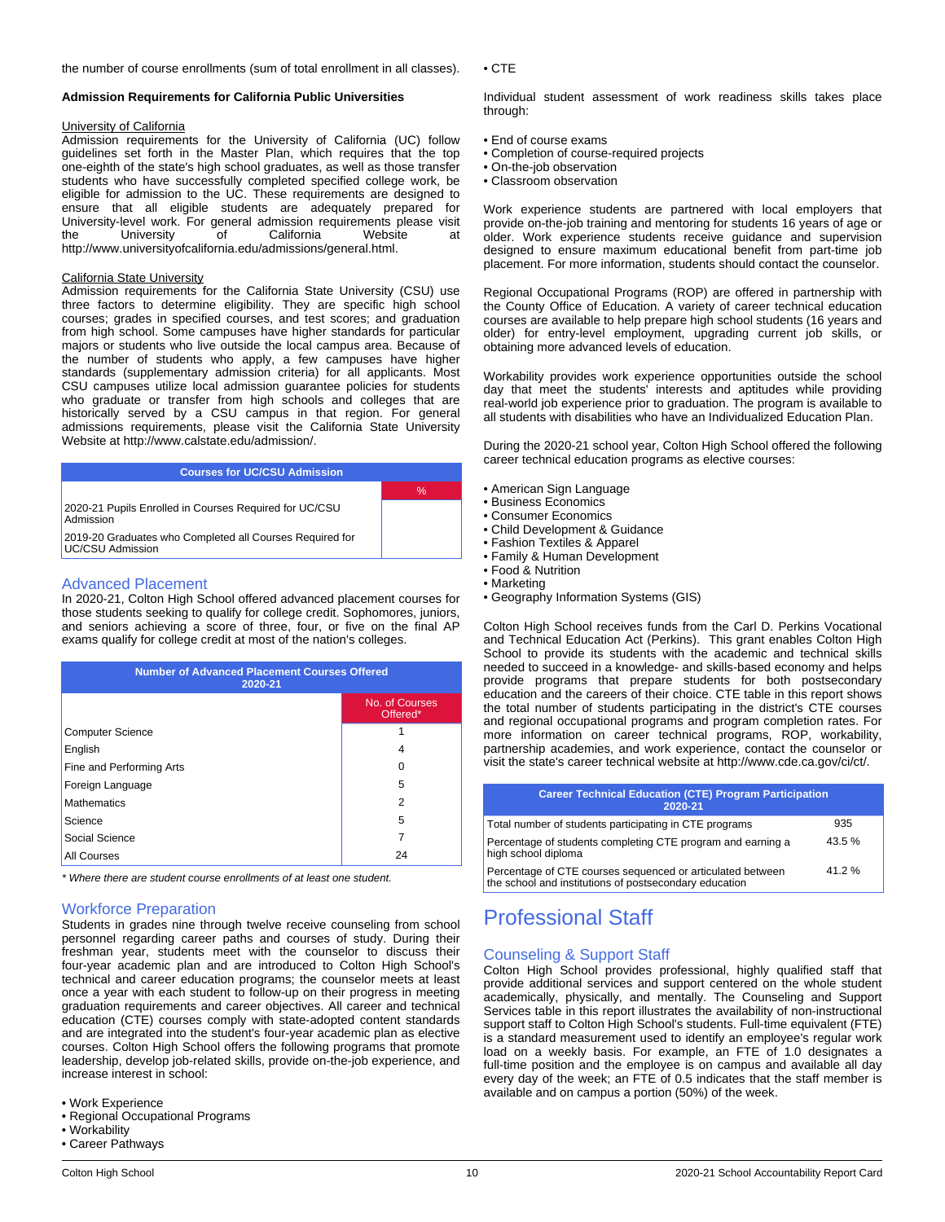the number of course enrollments (sum of total enrollment in all classes).

#### **Admission Requirements for California Public Universities**

#### University of California

Admission requirements for the University of California (UC) follow guidelines set forth in the Master Plan, which requires that the top one-eighth of the state's high school graduates, as well as those transfer students who have successfully completed specified college work, be eligible for admission to the UC. These requirements are designed to ensure that all eligible students are adequately prepared for University-level work. For general admission requirements please visit<br>the University of California Website at the University of California Website at http://www.universityofcalifornia.edu/admissions/general.html.

### California State University

Admission requirements for the California State University (CSU) use three factors to determine eligibility. They are specific high school courses; grades in specified courses, and test scores; and graduation from high school. Some campuses have higher standards for particular majors or students who live outside the local campus area. Because of the number of students who apply, a few campuses have higher standards (supplementary admission criteria) for all applicants. Most CSU campuses utilize local admission guarantee policies for students who graduate or transfer from high schools and colleges that are historically served by a CSU campus in that region. For general admissions requirements, please visit the California State University Website at http://www.calstate.edu/admission/.

| <b>Courses for UC/CSU Admission</b>                                          |   |  |  |
|------------------------------------------------------------------------------|---|--|--|
|                                                                              | ℅ |  |  |
| 2020-21 Pupils Enrolled in Courses Required for UC/CSU<br>Admission          |   |  |  |
| 2019-20 Graduates who Completed all Courses Required for<br>UC/CSU Admission |   |  |  |

### Advanced Placement

In 2020-21, Colton High School offered advanced placement courses for those students seeking to qualify for college credit. Sophomores, juniors, and seniors achieving a score of three, four, or five on the final AP exams qualify for college credit at most of the nation's colleges.

| <b>Number of Advanced Placement Courses Offered</b><br>2020-21 |  |  |  |
|----------------------------------------------------------------|--|--|--|
| No. of Courses<br>Offered*                                     |  |  |  |
|                                                                |  |  |  |
| 4                                                              |  |  |  |
| ŋ                                                              |  |  |  |
| 5                                                              |  |  |  |
| 2                                                              |  |  |  |
| 5                                                              |  |  |  |
|                                                                |  |  |  |
| 24                                                             |  |  |  |
|                                                                |  |  |  |

*\* Where there are student course enrollments of at least one student.*

### Workforce Preparation

Students in grades nine through twelve receive counseling from school personnel regarding career paths and courses of study. During their freshman year, students meet with the counselor to discuss their four-year academic plan and are introduced to Colton High School's technical and career education programs; the counselor meets at least once a year with each student to follow-up on their progress in meeting graduation requirements and career objectives. All career and technical education (CTE) courses comply with state-adopted content standards and are integrated into the student's four-year academic plan as elective courses. Colton High School offers the following programs that promote leadership, develop job-related skills, provide on-the-job experience, and increase interest in school:

• Work Experience

- Regional Occupational Programs
- 
- 
- Workability • Career Pathways
- 

#### • CTE

Individual student assessment of work readiness skills takes place through:

- End of course exams
- Completion of course-required projects
- On-the-job observation
- Classroom observation

Work experience students are partnered with local employers that provide on-the-job training and mentoring for students 16 years of age or older. Work experience students receive guidance and supervision designed to ensure maximum educational benefit from part-time job placement. For more information, students should contact the counselor.

Regional Occupational Programs (ROP) are offered in partnership with the County Office of Education. A variety of career technical education courses are available to help prepare high school students (16 years and older) for entry-level employment, upgrading current job skills, or obtaining more advanced levels of education.

Workability provides work experience opportunities outside the school day that meet the students' interests and aptitudes while providing real-world job experience prior to graduation. The program is available to all students with disabilities who have an Individualized Education Plan.

During the 2020-21 school year, Colton High School offered the following career technical education programs as elective courses:

- American Sign Language
- Business Economics
- Consumer Economics
- Child Development & Guidance
- Fashion Textiles & Apparel
- Family & Human Development
- Food & Nutrition
- Marketing
- Geography Information Systems (GIS)

Colton High School receives funds from the Carl D. Perkins Vocational and Technical Education Act (Perkins). This grant enables Colton High School to provide its students with the academic and technical skills needed to succeed in a knowledge- and skills-based economy and helps provide programs that prepare students for both postsecondary education and the careers of their choice. CTE table in this report shows the total number of students participating in the district's CTE courses and regional occupational programs and program completion rates. For more information on career technical programs, ROP, workability, partnership academies, and work experience, contact the counselor or visit the state's career technical website at http://www.cde.ca.gov/ci/ct/.

| <b>Career Technical Education (CTE) Program Participation</b><br>2020-21                                             |       |  |  |
|----------------------------------------------------------------------------------------------------------------------|-------|--|--|
| Total number of students participating in CTE programs                                                               | 935   |  |  |
| Percentage of students completing CTE program and earning a<br>high school diploma                                   | 43.5% |  |  |
| Percentage of CTE courses sequenced or articulated between<br>the school and institutions of postsecondary education | 41.2% |  |  |

# Professional Staff

### Counseling & Support Staff

Colton High School provides professional, highly qualified staff that provide additional services and support centered on the whole student academically, physically, and mentally. The Counseling and Support Services table in this report illustrates the availability of non-instructional support staff to Colton High School's students. Full-time equivalent (FTE) is a standard measurement used to identify an employee's regular work load on a weekly basis. For example, an FTE of 1.0 designates a full-time position and the employee is on campus and available all day every day of the week; an FTE of 0.5 indicates that the staff member is available and on campus a portion (50%) of the week.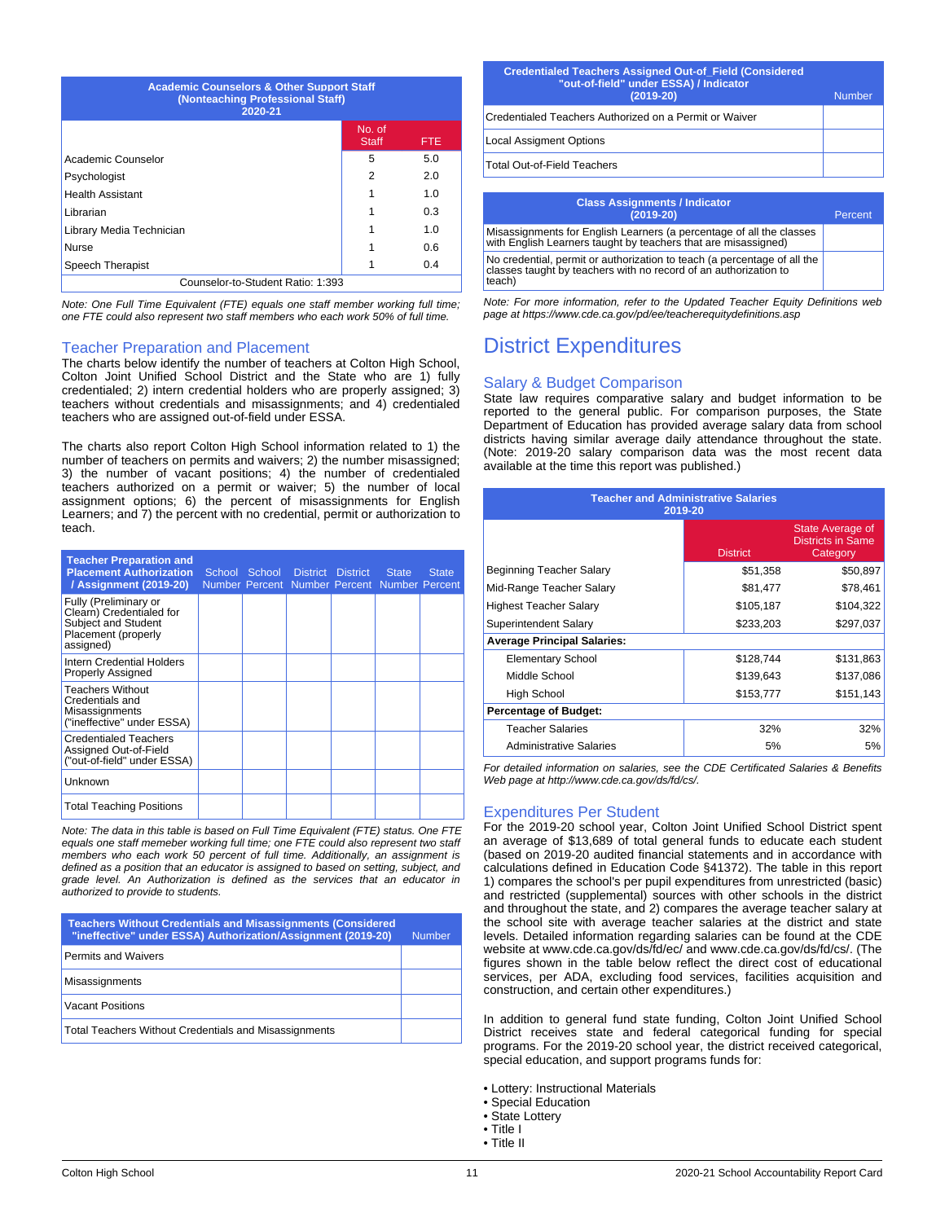| <b>Academic Counselors &amp; Other Support Staff</b><br>(Nonteaching Professional Staff)<br>2020-21 |                        |            |  |  |
|-----------------------------------------------------------------------------------------------------|------------------------|------------|--|--|
|                                                                                                     | No. of<br><b>Staff</b> | <b>FTE</b> |  |  |
| Academic Counselor                                                                                  | 5                      | 5.0        |  |  |
| Psychologist                                                                                        | 2                      | 2.0        |  |  |
| <b>Health Assistant</b>                                                                             |                        | 1.0        |  |  |
| Librarian                                                                                           |                        | 0.3        |  |  |
| Library Media Technician                                                                            |                        | 1.0        |  |  |
| Nurse                                                                                               |                        | 0.6        |  |  |
| Speech Therapist                                                                                    |                        | 0.4        |  |  |
| Counselor-to-Student Ratio: 1:393                                                                   |                        |            |  |  |

*Note: One Full Time Equivalent (FTE) equals one staff member working full time; one FTE could also represent two staff members who each work 50% of full time.*

### Teacher Preparation and Placement

The charts below identify the number of teachers at Colton High School, Colton Joint Unified School District and the State who are 1) fully credentialed; 2) intern credential holders who are properly assigned; 3) teachers without credentials and misassignments; and 4) credentialed teachers who are assigned out-of-field under ESSA.

The charts also report Colton High School information related to 1) the number of teachers on permits and waivers; 2) the number misassigned; 3) the number of vacant positions; 4) the number of credentialed teachers authorized on a permit or waiver; 5) the number of local assignment options; 6) the percent of misassignments for English Learners; and 7) the percent with no credential, permit or authorization to teach.

| <b>Teacher Preparation and</b><br><b>Placement Authorization</b><br>/ Assignment (2019-20)                   |  | School School District District State<br>Number Percent Number Percent Number Percent |  | <b>State</b> |
|--------------------------------------------------------------------------------------------------------------|--|---------------------------------------------------------------------------------------|--|--------------|
| Fully (Preliminary or<br>Clearn) Credentialed for<br>Subject and Student<br>Placement (properly<br>assigned) |  |                                                                                       |  |              |
| Intern Credential Holders<br><b>Properly Assigned</b>                                                        |  |                                                                                       |  |              |
| <b>Teachers Without</b><br>Credentials and<br>Misassignments<br>("ineffective" under ESSA)                   |  |                                                                                       |  |              |
| <b>Credentialed Teachers</b><br>Assigned Out-of-Field<br>("out-of-field" under ESSA)                         |  |                                                                                       |  |              |
| Unknown                                                                                                      |  |                                                                                       |  |              |
| <b>Total Teaching Positions</b>                                                                              |  |                                                                                       |  |              |

*Note: The data in this table is based on Full Time Equivalent (FTE) status. One FTE equals one staff memeber working full time; one FTE could also represent two staff members who each work 50 percent of full time. Additionally, an assignment is defined as a position that an educator is assigned to based on setting, subject, and grade level. An Authorization is defined as the services that an educator in authorized to provide to students.*

| <b>Teachers Without Credentials and Misassignments (Considered)</b><br>"ineffective" under ESSA) Authorization/Assignment (2019-20) | <b>Number</b> |
|-------------------------------------------------------------------------------------------------------------------------------------|---------------|
| <b>Permits and Waivers</b>                                                                                                          |               |
| Misassignments                                                                                                                      |               |
| <b>Vacant Positions</b>                                                                                                             |               |
| <b>Total Teachers Without Credentials and Misassignments</b>                                                                        |               |

| <b>Credentialed Teachers Assigned Out-of Field (Considered</b><br>"out-of-field" under ESSA) / Indicator<br>$(2019-20)$ | <b>Number</b> |
|-------------------------------------------------------------------------------------------------------------------------|---------------|
| Credentialed Teachers Authorized on a Permit or Waiver                                                                  |               |
| <b>Local Assigment Options</b>                                                                                          |               |
| <b>Total Out-of-Field Teachers</b>                                                                                      |               |
|                                                                                                                         |               |

| <b>Class Assignments / Indicator</b><br>$(2019-20)$                                                                                                    | Percent |
|--------------------------------------------------------------------------------------------------------------------------------------------------------|---------|
| Misassignments for English Learners (a percentage of all the classes<br>with English Learners taught by teachers that are misassigned)                 |         |
| No credential, permit or authorization to teach (a percentage of all the<br>classes taught by teachers with no record of an authorization to<br>teach) |         |

*Note: For more information, refer to the Updated Teacher Equity Definitions web page at https://www.cde.ca.gov/pd/ee/teacherequitydefinitions.asp*

# District Expenditures

## Salary & Budget Comparison

State law requires comparative salary and budget information to be reported to the general public. For comparison purposes, the State Department of Education has provided average salary data from school districts having similar average daily attendance throughout the state. (Note: 2019-20 salary comparison data was the most recent data available at the time this report was published.)

| <b>Teacher and Administrative Salaries</b><br>2019-20 |                 |                                                          |  |  |  |
|-------------------------------------------------------|-----------------|----------------------------------------------------------|--|--|--|
|                                                       | <b>District</b> | State Average of<br><b>Districts in Same</b><br>Category |  |  |  |
| <b>Beginning Teacher Salary</b>                       | \$51,358        | \$50,897                                                 |  |  |  |
| Mid-Range Teacher Salary                              | \$81,477        | \$78,461                                                 |  |  |  |
| Highest Teacher Salary                                | \$105,187       | \$104,322                                                |  |  |  |
| Superintendent Salary                                 | \$233,203       | \$297,037                                                |  |  |  |
| <b>Average Principal Salaries:</b>                    |                 |                                                          |  |  |  |
| <b>Elementary School</b>                              | \$128.744       | \$131,863                                                |  |  |  |
| Middle School                                         | \$139,643       | \$137,086                                                |  |  |  |
| High School                                           | \$153,777       | \$151,143                                                |  |  |  |
| <b>Percentage of Budget:</b>                          |                 |                                                          |  |  |  |
| Teacher Salaries                                      | 32%             | 32%                                                      |  |  |  |
| <b>Administrative Salaries</b>                        | 5%              | 5%                                                       |  |  |  |

*For detailed information on salaries, see the CDE Certificated Salaries & Benefits Web page at http://www.cde.ca.gov/ds/fd/cs/.*

# Expenditures Per Student

For the 2019-20 school year, Colton Joint Unified School District spent an average of \$13,689 of total general funds to educate each student (based on 2019-20 audited financial statements and in accordance with calculations defined in Education Code §41372). The table in this report 1) compares the school's per pupil expenditures from unrestricted (basic) and restricted (supplemental) sources with other schools in the district and throughout the state, and 2) compares the average teacher salary at the school site with average teacher salaries at the district and state levels. Detailed information regarding salaries can be found at the CDE website at www.cde.ca.gov/ds/fd/ec/ and www.cde.ca.gov/ds/fd/cs/. (The figures shown in the table below reflect the direct cost of educational services, per ADA, excluding food services, facilities acquisition and construction, and certain other expenditures.)

In addition to general fund state funding, Colton Joint Unified School District receives state and federal categorical funding for special programs. For the 2019-20 school year, the district received categorical, special education, and support programs funds for:

- Lottery: Instructional Materials
- Special Education
- State Lottery
- Title I
- Title II